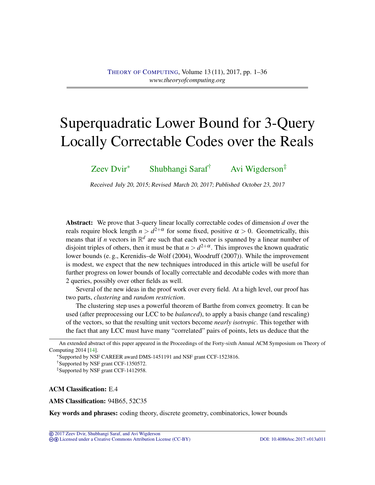# <span id="page-0-0"></span>Superquadratic Lower Bound for 3-Query Locally Correctable Codes over the Reals

[Zeev Dvir](#page-34-0)<sup>∗</sup> [Shubhangi Saraf](#page-34-1)† [Avi Wigderson](#page-35-0)‡

Received July 20, 2015; Revised March 20, 2017; Published October 23, 2017

Abstract: We prove that 3-query linear locally correctable codes of dimension *d* over the reals require block length  $n > d^{2+\alpha}$  for some fixed, positive  $\alpha > 0$ . Geometrically, this means that if *n* vectors in  $\mathbb{R}^d$  are such that each vector is spanned by a linear number of disjoint triples of others, then it must be that  $n > d^{2+\alpha}$ . This improves the known quadratic lower bounds (e. g., Kerenidis–de Wolf (2004), Woodruff (2007)). While the improvement is modest, we expect that the new techniques introduced in this article will be useful for further progress on lower bounds of locally correctable and decodable codes with more than 2 queries, possibly over other fields as well.

Several of the new ideas in the proof work over every field. At a high level, our proof has two parts, *clustering* and *random restriction*.

The clustering step uses a powerful theorem of Barthe from convex geometry. It can be used (after preprocessing our LCC to be *balanced*), to apply a basis change (and rescaling) of the vectors, so that the resulting unit vectors become *nearly isotropic*. This together with the fact that any LCC must have many "correlated" pairs of points, lets us deduce that the

<sup>∗</sup>Supported by NSF CAREER award DMS-1451191 and NSF grant CCF-1523816.

ACM Classification: E.4

AMS Classification: 94B65, 52C35

Key words and phrases: coding theory, discrete geometry, combinatorics, lower bounds

An extended abstract of this paper appeared in the Proceedings of the Forty-sixth Annual ACM Symposium on Theory of Computing 2014 [\[14\]](#page-33-0).

<sup>†</sup>Supported by NSF grant CCF-1350572.

<sup>‡</sup>Supported by NSF grant CCF-1412958.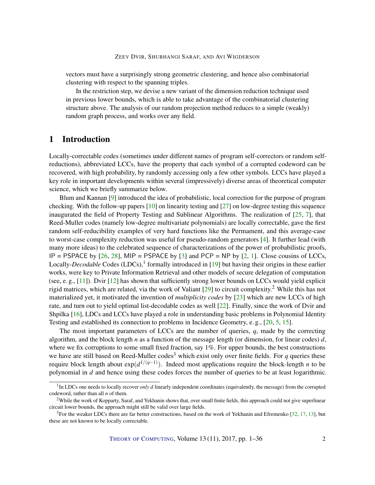<span id="page-1-0"></span>vectors must have a surprisingly strong geometric clustering, and hence also combinatorial clustering with respect to the spanning triples.

In the restriction step, we devise a new variant of the dimension reduction technique used in previous lower bounds, which is able to take advantage of the combinatorial clustering structure above. The analysis of our random projection method reduces to a simple (weakly) random graph process, and works over any field.

## 1 Introduction

Locally-correctable codes (sometimes under different names of program self-correctors or random selfreductions), abbreviated LCCs, have the property that each symbol of a corrupted codeword can be recovered, with high probability, by randomly accessing only a few other symbols. LCCs have played a key role in important developments within several (impressively) diverse areas of theoretical computer science, which we briefly summarize below.

Blum and Kannan [\[9\]](#page-32-0) introduced the idea of probabilistic, local correction for the purpose of program checking. With the follow-up papers  $[10]$  on linearity testing and  $[27]$  on low-degree testing this sequence inaugurated the field of Property Testing and Sublinear Algorithms. The realization of  $[25, 7]$  $[25, 7]$  $[25, 7]$ , that Reed-Muller codes (namely low-degree multivariate polynomials) are locally correctable, gave the first random self-reducibility examples of very hard functions like the Permament, and this average-case to worst-case complexity reduction was useful for pseudo-random generators [\[4\]](#page-32-3). It further lead (with many more ideas) to the celebrated sequence of characterizations of the power of probabilistic proofs, IP = PSPACE by  $[26, 28]$  $[26, 28]$  $[26, 28]$ , MIP = PSPACE by  $[3]$  and PCP = NP by  $[2, 1]$  $[2, 1]$  $[2, 1]$ . Close cousins of LCCs, Locally-*Decodable* Codes (LDCs),<sup>1</sup> formally introduced in [\[19\]](#page-33-2) but having their origins in these earlier works, were key to Private Information Retrieval and other models of secure delegation of computation (see, e. g., [\[11\]](#page-32-7)). Dvir [\[12\]](#page-32-8) has shown that sufficiently strong lower bounds on LCCs would yield explicit rigid matrices, which are related, via the work of Valiant [\[29\]](#page-34-5) to circuit complexity.<sup>2</sup> While this has not materialized yet, it motivated the invention of *multiplicity codes* by [\[23\]](#page-33-3) which are new LCCs of high rate, and turn out to yield optimal list-decodable codes as well [\[22\]](#page-33-4). Finally, since the work of Dvir and Shpilka [\[16\]](#page-33-5), LDCs and LCCs have played a role in understanding basic problems in Polynomial Identity Testing and established its connection to problems in Incidence Geometry, e. g., [\[20,](#page-33-6) [5,](#page-32-9) [15\]](#page-33-7).

The most important parameters of LCCs are the number of queries, *q*, made by the correcting algorithm, and the block length *n* as a function of the message length (or dimension, for linear codes) *d*, where we fix corruptions to some small fixed fraction, say 1%. For upper bounds, the best constructions we have are still based on Reed-Muller codes<sup>3</sup> which exist only over finite fields. For  $q$  queries these require block length about exp(*d* 1/(*q*−1) ). Indeed most applications require the block-length *n* to be polynomial in *d* and hence using these codes forces the number of queries to be at least logarithmic.

THEORY OF C[OMPUTING](http://dx.doi.org/10.4086/toc), Volume 13 (11), 2017, pp. 1–36 2

<sup>&</sup>lt;sup>1</sup>In LDCs one needs to locally recover *only d* linearly independent coordinates (equivalently, the message) from the corrupted codeword, rather than all *n* of them.

<sup>&</sup>lt;sup>2</sup>While the work of Kopparty, Saraf, and Yekhanin shows that, over small finite fields, this approach could not give superlinear circuit lower bounds, the approach might still be valid over large fields.

 $3$ For the weaker LDCs there are far better constructions, based on the work of Yekhanin and Efremenko [\[32,](#page-34-6) [17,](#page-33-8) [13\]](#page-33-9), but these are not known to be locally correctable.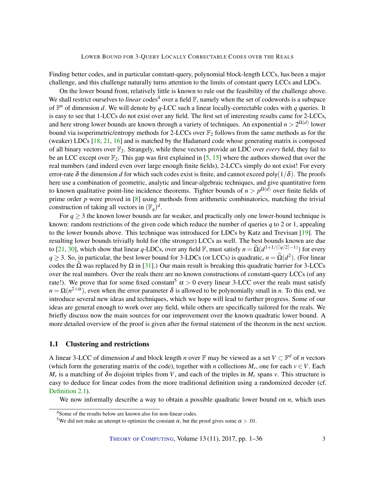<span id="page-2-0"></span>Finding better codes, and in particular constant-query, polynomial block-length LCCs, has been a major challenge, and this challenge naturally turns attention to the limits of constant query LCCs and LDCs.

On the lower bound front, relatively little is known to rule out the feasibility of the challenge above. We shall restrict ourselves to *linear* codes<sup>4</sup> over a field  $\mathbb{F}$ , namely when the set of codewords is a subspace of  $\mathbb{F}^n$  of dimension *d*. We will denote by *q*-LCC such a linear locally-correctable codes with *q* queries. It is easy to see that 1-LCCs do not exist over any field. The first set of interesting results came for 2-LCCs, and here strong lower bounds are known through a variety of techniques. An exponential  $n > 2^{\Omega(d)}$  lower bound via isoperimetric/entropy methods for 2-LCCs over  $\mathbb{F}_2$  follows from the same methods as for the (weaker) LDCs [\[18,](#page-33-10) [21,](#page-33-11) [16\]](#page-33-5) and is matched by the Hadamard code whose generating matrix is composed of all binary vectors over F2. Strangely, while these vectors provide an LDC over *every* field, they fail to be an LCC except over  $\mathbb{F}_2$ . This gap was first explained in [\[5,](#page-32-9) [15\]](#page-33-7) where the authors showed that over the real numbers (and indeed even over large enough finite fields), 2-LCCs simply do not exist! For every error-rate  $\delta$  the dimension *d* for which such codes exist is finite, and cannot exceed poly(1/ $\delta$ ). The proofs here use a combination of geometric, analytic and linear-algebraic techniques, and give quantitative form to known qualitative point-line incidence theorems. Tighter bounds of  $n > p^{\Omega(d)}$  over finite fields of prime order *p* were proved in [\[8\]](#page-32-10) using methods from arithmetic combinatorics, matching the trivial construction of taking all vectors in  $(\mathbb{F}_q)^d$ .

For  $q \geq 3$  the known lower bounds are far weaker, and practically only one lower-bound technique is known: random restrictions of the given code which reduce the number of queries *q* to 2 or 1, appealing to the lower bounds above. This technique was introduced for LDCs by Katz and Trevisan [\[19\]](#page-33-2). The resulting lower bounds trivially hold for (the stronger) LCCs as well. The best bounds known are due to [\[21,](#page-33-11) [30\]](#page-34-7), which show that linear *q*-LDCs, over any field  $\mathbb{F}$ , must satisfy  $n = \tilde{\Omega}(d^{1+1/(\lceil q/2 \rceil-1)})$  for every  $q \geq 3$ . So, in particular, the best lower bound for 3-LDCs (or LCCs) is quadratic,  $n = \Omega(d^2)$ . (For linear codes the  $\Omega$  was replaced by  $\Omega$  in [\[31\]](#page-34-8).) Our main result is breaking this quadratic barrier for 3-LCCs over the real numbers. Over the reals there are no known constructions of constant-query LCCs (of any rate!). We prove that for some fixed constant<sup>5</sup>  $\alpha > 0$  every linear 3-LCC over the reals must satisfy  $n = \Omega(n^{2+\alpha})$ , even when the error parameter  $\delta$  is allowed to be polynomially small in *n*. To this end, we introduce several new ideas and techniques, which we hope will lead to further progress. Some of our ideas are general enough to work over any field, while others are specifically tailored for the reals. We briefly discuss now the main sources for our improvement over the known quadratic lower bound. A more detailed overview of the proof is given after the formal statement of the theorem in the next section.

## 1.1 Clustering and restrictions

A linear 3-LCC of dimension *d* and block length *n* over  $\mathbb F$  may be viewed as a set  $V \subset \mathbb F^d$  of *n* vectors (which form the generating matrix of the code), together with *n* collections  $M_v$ , one for each  $v \in V$ . Each  $M_v$  is a matching of  $\delta n$  disjoint triples from *V*, and each of the triples in  $M_v$  spans *v*. This structure is easy to deduce for linear codes from the more traditional definition using a randomized decoder (cf. [Definition](#page-4-0) [2.1\)](#page-4-0).

We now informally describe a way to obtain a possible quadratic lower bound on *n*, which uses

<sup>4</sup>Some of the results below are known also for non-linear codes.

<sup>&</sup>lt;sup>5</sup>We did not make an attempt to optimize the constant  $\alpha$ , but the proof gives some  $\alpha > .01$ .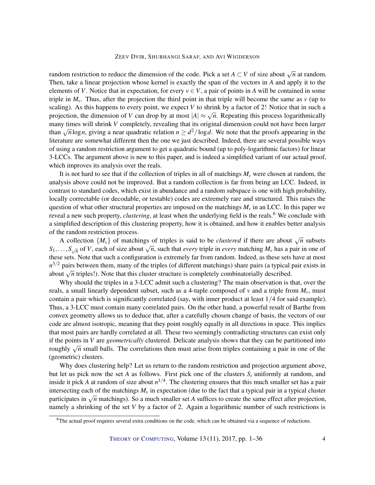#### ZEEV DVIR, SHUBHANGI SARAF, AND AVI WIGDERSON

random restriction to reduce the dimension of the code. Pick a set  $A \subset V$  of size about  $\sqrt{n}$  at random. Then, take a linear projection whose kernel is exactly the span of the vectors in *A* and apply it to the elements of *V*. Notice that in expectation, for every  $v \in V$ , a pair of points in *A* will be contained in some triple in  $M_v$ . Thus, after the projection the third point in that triple will become the same as  $v$  (up to scaling). As this happens to every point, we expect *V* to shrink by a factor of 2! Notice that in such a projection, the dimension of *V* can drop by at most  $|A| \approx \sqrt{n}$ . Repeating this process logarithmically many times will shrink *V* completely, revealing that its original dimension could not have been larger than  $\sqrt{n} \log n$ , giving a near quadratic relation  $n \ge d^2/\log d$ . We note that the proofs appearing in the literature are somewhat different then the one we just described. Indeed, there are several possible ways of using a random restriction argument to get a quadratic bound (up to poly-logarithmic factors) for linear 3-LCCs. The argument above is new to this paper, and is indeed a simplified variant of our actual proof, which improves its analysis over the reals.

It is not hard to see that if the collection of triples in all of matchings  $M<sub>v</sub>$  were chosen at random, the analysis above could not be improved. But a random collection is far from being an LCC. Indeed, in contrast to standard codes, which exist in abundance and a random subspace is one with high probability, locally correctable (or decodable, or testable) codes are extremely rare and structured. This raises the question of what other structural properties are imposed on the matchings  $M<sub>v</sub>$  in an LCC. In this paper we reveal a new such property, *clustering*, at least when the underlying field is the reals.<sup>6</sup> We conclude with a simplified description of this clustering property, how it is obtained, and how it enables better analysis of the random restriction process.

A collection  ${M_v}$  of matchings of triples is said to be *clustered* if there are about  $\sqrt{n}$  subsets *S*<sub>1</sub>,...,*S*<sub> $\sqrt{n}$ </sub> of *V*, each of size about  $\sqrt{n}$ , such that *every* triple in *every* matching *M<sub>v</sub>* has a pair in one of these sets. Note that such a configuration is extremely far from random. Indeed, as these sets have at most  $n^{3/2}$  pairs between them, many of the triples (of different matchings) share pairs (a typical pair exists in  $\alpha$   $\gamma$  pairs between them, many of the triples (or different matchings) share pairs (a typicar) about  $\sqrt{n}$  triples!). Note that this cluster structure is completely combinatorially described.

Why should the triples in a 3-LCC admit such a clustering? The main observation is that, over the reals, a small linearly dependent subset, such as a 4-tuple composed of *v* and a triple from  $M_v$ , must contain a pair which is significantly correlated (say, with inner product at least 1/4 for said example). Thus, a 3-LCC must contain many correlated pairs. On the other hand, a powerful result of Barthe from convex geometry allows us to deduce that, after a carefully chosen change of basis, the vectors of our code are almost isotropic, meaning that they point roughly equally in all directions in space. This implies that most pairs are hardly correlated at all. These two seemingly contradicting structures can exist only if the points in *V* are *geometrically* clustered. Delicate analysis shows that they can be partitioned into roughly  $\sqrt{n}$  small balls. The correlations then must arise from triples containing a pair in one of the (geometric) clusters.

Why does clustering help? Let us return to the random restriction and projection argument above, but let us pick now the set *A* as follows. First pick one of the clusters *S<sup>i</sup>* uniformly at random, and inside it pick *A* at random of size about *n* 1/4 . The clustering ensures that this much smaller set has a pair intersecting each of the matchings  $M<sub>v</sub>$  in expectation (due to the fact that a typical pair in a typical cluster  $n_{\text{w}}$  matchings). So a much smaller set *A* suffices to create the same effect after projection, participates in  $\sqrt{n}$  matchings). So a much smaller set *A* suffices to create the same effect after projection, namely a shrinking of the set *V* by a factor of 2. Again a logarithmic number of such restrictions is

<sup>6</sup>The actual proof requires several extra conditions on the code, which can be obtained via a sequence of reductions.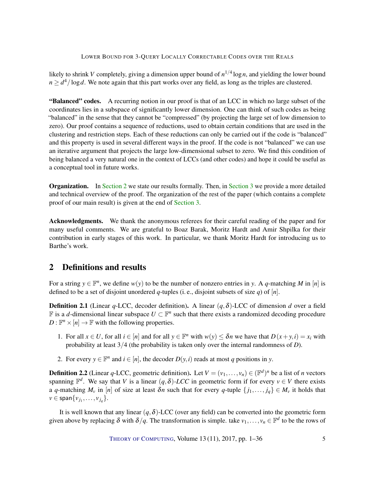likely to shrink *V* completely, giving a dimension upper bound of *n* 1/4 log*n*, and yielding the lower bound  $n \geq d^4 / \log d$ . We note again that this part works over any field, as long as the triples are clustered.

"Balanced" codes. A recurring notion in our proof is that of an LCC in which no large subset of the coordinates lies in a subspace of significantly lower dimension. One can think of such codes as being "balanced" in the sense that they cannot be "compressed" (by projecting the large set of low dimension to zero). Our proof contains a sequence of reductions, used to obtain certain conditions that are used in the clustering and restriction steps. Each of these reductions can only be carried out if the code is "balanced" and this property is used in several different ways in the proof. If the code is not "balanced" we can use an iterative argument that projects the large low-dimensional subset to zero. We find this condition of being balanced a very natural one in the context of LCCs (and other codes) and hope it could be useful as a conceptual tool in future works.

**Organization.** In [Section](#page-5-0) [2](#page-4-1) we state our results formally. Then, in Section [3](#page-5-0) we provide a more detailed and technical overview of the proof. The organization of the rest of the paper (which contains a complete proof of our main result) is given at the end of [Section](#page-5-0) [3.](#page-5-0)

Acknowledgments. We thank the anonymous referees for their careful reading of the paper and for many useful comments. We are grateful to Boaz Barak, Moritz Hardt and Amir Shpilka for their contribution in early stages of this work. In particular, we thank Moritz Hardt for introducing us to Barthe's work.

# <span id="page-4-1"></span>2 Definitions and results

For a string  $y \in \mathbb{F}^n$ , we define  $w(y)$  to be the number of nonzero entries in *y*. A *q*-matching *M* in [*n*] is defined to be a set of disjoint unordered *q*-tuples (i. e., disjoint subsets of size *q*) of [*n*].

<span id="page-4-0"></span>**Definition 2.1** (Linear *q*-LCC, decoder definition). A linear  $(q, \delta)$ -LCC of dimension *d* over a field **F** is a *d*-dimensional linear subspace  $U \subset \mathbb{F}^n$  such that there exists a randomized decoding procedure  $D: \mathbb{F}^n \times [n] \to \mathbb{F}$  with the following properties.

- 1. For all  $x \in U$ , for all  $i \in [n]$  and for all  $y \in \mathbb{F}^n$  with  $w(y) \leq \delta n$  we have that  $D(x+y, i) = x_i$  with probability at least 3/4 (the probability is taken only over the internal randomness of *D*).
- 2. For every  $y \in \mathbb{F}^n$  and  $i \in [n]$ , the decoder  $D(y, i)$  reads at most *q* positions in *y*.

**Definition 2.2** (Linear q-LCC, geometric definition). Let  $V = (v_1, \ldots, v_n) \in (\mathbb{F}^d)^n$  be a list of *n* vectors spanning  $\mathbb{F}^d$ . We say that *V* is a linear  $(q, \delta)$ -LCC in geometric form if for every  $v \in V$  there exists a *q*-matching  $M_v$  in [*n*] of size at least  $\delta n$  such that for every *q*-tuple  $\{j_1, \ldots, j_q\} \in M_v$  it holds that  $\nu \in \textsf{span}\{v_{j_1},\ldots,v_{j_q}\}.$ 

It is well known that any linear  $(q, \delta)$ -LCC (over any field) can be converted into the geometric form given above by replacing  $\delta$  with  $\delta/q$ . The transformation is simple. take  $v_1,\ldots,v_n \in \mathbb{F}^d$  to be the rows of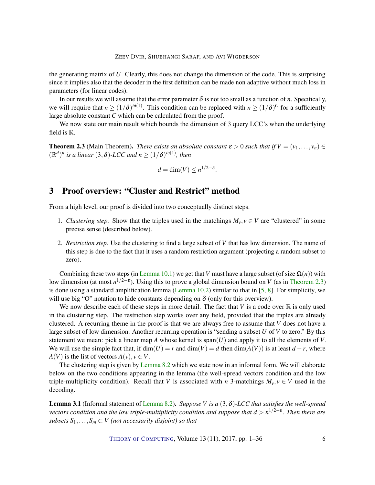<span id="page-5-3"></span>the generating matrix of *U*. Clearly, this does not change the dimension of the code. This is surprising since it implies also that the decoder in the first definition can be made non adaptive without much loss in parameters (for linear codes).

In our results we will assume that the error parameter  $\delta$  is not too small as a function of *n*. Specifically, we will require that  $n \ge (1/\delta)^{\omega(1)}$ . This condition can be replaced with  $n \ge (1/\delta)^C$  for a sufficiently large absolute constant *C* which can be calculated from the proof.

We now state our main result which bounds the dimension of 3 query LCC's when the underlying field is R.

<span id="page-5-1"></span>**Theorem 2.3** (Main Theorem). *There exists an absolute constant*  $\varepsilon > 0$  *such that* if  $V = (v_1, \ldots, v_n) \in$  $(\mathbb{R}^d)^n$  is a linear  $(3,\delta)$ -LCC and  $n \ge (1/\delta)^{\omega(1)}$ , then

$$
d = \dim(V) \le n^{1/2 - \varepsilon}.
$$

# <span id="page-5-0"></span>3 Proof overview: "Cluster and Restrict" method

From a high level, our proof is divided into two conceptually distinct steps.

- 1. *Clustering step.* Show that the triples used in the matchings  $M_v, v \in V$  are "clustered" in some precise sense (described below).
- 2. *Restriction step.* Use the clustering to find a large subset of *V* that has low dimension. The name of this step is due to the fact that it uses a random restriction argument (projecting a random subset to zero).

Combining these two steps (in [Lemma](#page-29-0) [10.1\)](#page-29-0) we get that *V* must have a large subset (of size  $\Omega(n)$ ) with low dimension (at most  $n^{1/2-\epsilon}$ ). Using this to prove a global dimension bound on *V* (as in [Theorem](#page-5-1) [2.3\)](#page-5-1) is done using a standard amplification lemma [\(Lemma](#page-30-0) [10.2\)](#page-30-0) similar to that in [\[5,](#page-32-9) [8\]](#page-32-10). For simplicity, we will use big "O" notation to hide constants depending on  $\delta$  (only for this overview).

We now describe each of these steps in more detail. The fact that  $V$  is a code over  $\mathbb R$  is only used in the clustering step. The restriction step works over any field, provided that the triples are already clustered. A recurring theme in the proof is that we are always free to assume that *V* does not have a large subset of low dimension. Another recurring operation is "sending a subset *U* of *V* to zero." By this statement we mean: pick a linear map *A* whose kernel is span(*U*) and apply it to all the elements of *V*. We will use the simple fact that, if  $dim(U) = r$  and  $dim(V) = d$  then  $dim(A(V))$  is at least  $d - r$ , where *A*(*V*) is the list of vectors  $A(v), v \in V$ .

The clustering step is given by [Lemma](#page-17-0) [8.2](#page-17-0) which we state now in an informal form. We will elaborate below on the two conditions appearing in the lemma (the well-spread vectors condition and the low triple-multiplicity condition). Recall that *V* is associated with *n* 3-matchings  $M_v, v \in V$  used in the decoding.

<span id="page-5-2"></span>Lemma 3.1 (Informal statement of [Lemma](#page-17-0) [8.2\)](#page-17-0). *Suppose V is a* (3,δ)*-LCC that satisfies the well-spread vectors condition and the low triple-multiplicity condition and suppose that d* > *n* 1/2−ε *. Then there are subsets*  $S_1, \ldots, S_m \subset V$  (not necessarily disjoint) so that

THEORY OF C[OMPUTING](http://dx.doi.org/10.4086/toc), Volume 13 (11), 2017, pp. 1–36 6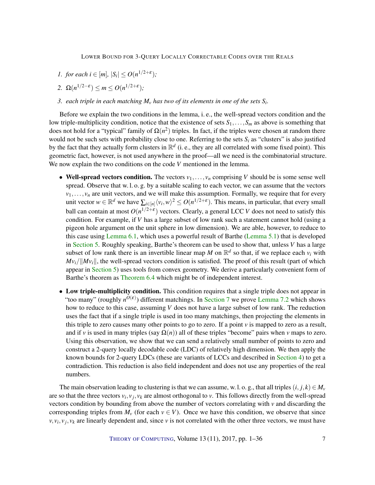- *1. for each*  $i \in [m]$ ,  $|S_i| \le O(n^{1/2+\epsilon})$ ;
- 2.  $\Omega(n^{1/2-\varepsilon}) \leq m \leq O(n^{1/2+\varepsilon})$ ;
- *3. each triple in each matching M<sup>v</sup> has two of its elements in one of the sets S<sup>i</sup> .*

Before we explain the two conditions in the lemma, i. e., the well-spread vectors condition and the low triple-multiplicity condition, notice that the existence of sets  $S_1, \ldots, S_m$  as above is something that does not hold for a "typical" family of  $\Omega(n^2)$  triples. In fact, if the triples were chosen at random there would not be such sets with probability close to one. Referring to the sets  $S_i$  as "clusters" is also justified by the fact that they actually form clusters in  $\mathbb{R}^d$  (i. e., they are all correlated with some fixed point). This geometric fact, however, is not used anywhere in the proof—all we need is the combinatorial structure. We now explain the two conditions on the code *V* mentioned in the lemma.

- Well-spread vectors condition. The vectors  $v_1, \ldots, v_n$  comprising *V* should be is some sense well spread. Observe that w. l. o. g. by a suitable scaling to each vector, we can assume that the vectors  $v_1, \ldots, v_n$  are unit vectors, and we will make this assumption. Formally, we require that for every unit vector  $w \in \mathbb{R}^d$  we have  $\sum_{i \in [n]} \langle v_i, w \rangle^2 \le O(n^{1/2+\epsilon})$ . This means, in particular, that every small ball can contain at most  $O(n^{1/2+\epsilon})$  vectors. Clearly, a general LCC *V* does not need to satisfy this condition. For example, if *V* has a large subset of low rank such a statement cannot hold (using a pigeon hole argument on the unit sphere in low dimension). We are able, however, to reduce to this case using [Lemma](#page-13-0) [6.1,](#page-13-0) which uses a powerful result of Barthe [\(Lemma](#page-10-0) [5.1\)](#page-10-0) that is developed in [Section](#page-10-1) [5.](#page-10-1) Roughly speaking, Barthe's theorem can be used to show that, unless *V* has a large subset of low rank there is an invertible linear map M on  $\mathbb{R}^d$  so that, if we replace each  $v_i$  with  $Mv_i/||Mv_i||$ , the well-spread vectors condition is satisfied. The proof of this result (part of which appear in [Section](#page-10-1) [5\)](#page-10-1) uses tools from convex geometry. We derive a particularly convenient form of Barthe's theorem as [Theorem](#page-15-0) [6.4](#page-15-0) which might be of independent interest.
- Low triple-multiplicity condition. This condition requires that a single triple does not appear in "too many" (roughly  $n^{O(\varepsilon)}$ ) different matchings. In [Section](#page-15-1) [7](#page-15-1) we prove [Lemma](#page-15-2) [7.2](#page-15-2) which shows how to reduce to this case, assuming *V* does not have a large subset of low rank. The reduction uses the fact that if a single triple is used in too many matchings, then projecting the elements in this triple to zero causes many other points to go to zero. If a point  $\nu$  is mapped to zero as a result, and if *v* is used in many triples (say  $\Omega(n)$ ) all of these triples "become" pairs when *v* maps to zero. Using this observation, we show that we can send a relatively small number of points to zero and construct a 2-query locally decodable code (LDC) of relatively high dimension. We then apply the known bounds for 2-query LDCs (these are variants of LCCs and described in [Section](#page-8-0) [4\)](#page-8-0) to get a contradiction. This reduction is also field independent and does not use any properties of the real numbers.

The main observation leading to clustering is that we can assume, w. l. o. g., that all triples  $(i, j, k) \in M$ <sup>*v*</sup> are so that the three vectors  $v_i$ ,  $v_j$ ,  $v_k$  are almost orthogonal to  $v$ . This follows directly from the well-spread vectors condition by bounding from above the number of vectors correlating with *v* and discarding the corresponding triples from  $M_v$  (for each  $v \in V$ ). Once we have this condition, we observe that since  $v, v_i, v_j, v_k$  are linearly dependent and, since *v* is not correlated with the other three vectors, we must have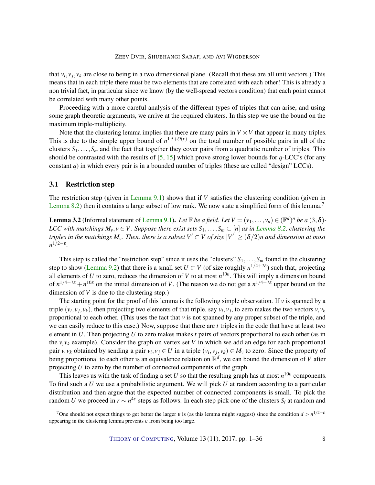### ZEEV DVIR, SHUBHANGI SARAF, AND AVI WIGDERSON

<span id="page-7-0"></span>that  $v_i, v_j, v_k$  are close to being in a two dimensional plane. (Recall that these are all unit vectors.) This means that in each triple there must be two elements that are correlated with each other! This is already a non trivial fact, in particular since we know (by the well-spread vectors condition) that each point cannot be correlated with many other points.

Proceeding with a more careful analysis of the different types of triples that can arise, and using some graph theoretic arguments, we arrive at the required clusters. In this step we use the bound on the maximum triple-multiplicity.

Note that the clustering lemma implies that there are many pairs in  $V \times V$  that appear in many triples. This is due to the simple upper bound of  $n^{1.5+O(\varepsilon)}$  on the total number of possible pairs in all of the clusters  $S_1, \ldots, S_m$  and the fact that together they cover pairs from a quadratic number of triples. This should be contrasted with the results of [\[5,](#page-32-9) [15\]](#page-33-7) which prove strong lower bounds for *q*-LCC's (for any constant *q*) in which every pair is in a bounded number of triples (these are called "design" LCCs).

## 3.1 Restriction step

The restriction step (given in [Lemma](#page-25-0) [9.1\)](#page-25-0) shows that if *V* satisfies the clustering condition (given in [Lemma](#page-17-0) [8.2\)](#page-17-0) then it contains a large subset of low rank. We now state a simplified form of this lemma.<sup>7</sup>

**[Lemma](#page-25-0) 3.2** (Informal statement of Lemma [9.1\)](#page-25-0). Let  $\mathbb{F}$  *be a field. Let*  $V = (v_1, \ldots, v_n) \in (\mathbb{F}^d)^n$  *be a*  $(3, \delta)$ -*LCC with matchings*  $M_v, v \in V$ . Suppose there exist sets  $S_1, \ldots, S_m \subset [n]$  *as in [Lemma](#page-17-0)* [8.2,](#page-17-0) *clustering the* triples in the matchings  $M_\nu$ . Then, there is a subset  $V'\subset V$  of size  $|V'|\ge (\delta/2)n$  and dimension at most *n* 1/2−ε *.*

This step is called the "restriction step" since it uses the "clusters"  $S_1, \ldots, S_m$  found in the clustering step to show [\(Lemma](#page-25-1) [9.2\)](#page-25-1) that there is a small set  $U \subset V$  (of size roughly  $n^{1/4+7\epsilon}$ ) such that, projecting all elements of *U* to zero, reduces the dimension of *V* to at most  $n^{10\varepsilon}$ . This will imply a dimension bound of  $n^{1/4+7\varepsilon} + n^{10\varepsilon}$  on the initial dimension of *V*. (The reason we do not get a  $n^{1/4+7\varepsilon}$  upper bound on the dimension of *V* is due to the clustering step.)

The starting point for the proof of this lemma is the following simple observation. If  $\nu$  is spanned by a triple  $(v_i, v_j, v_k)$ , then projecting two elements of that triple, say  $v_i, v_j$ , to zero makes the two vectors  $v, v_k$ proportional to each other. (This uses the fact that *v* is not spanned by any proper subset of the triple, and we can easily reduce to this case.) Now, suppose that there are *t* triples in the code that have at least two element in *U*. Then projecting *U* to zero makes makes *t* pairs of vectors proportional to each other (as in the  $v, v_k$  example). Consider the graph on vertex set *V* in which we add an edge for each proportional pair  $v, v_k$  obtained by sending a pair  $v_i, v_j \in U$  in a triple  $(v_i, v_j, v_k) \in M_v$  to zero. Since the property of being proportional to each other is an equivalence relation on  $\mathbb{R}^d$ , we can bound the dimension of *V* after projecting *U* to zero by the number of connected components of the graph.

This leaves us with the task of finding a set *U* so that the resulting graph has at most  $n^{10\varepsilon}$  components. To find such a *U* we use a probabilistic argument. We will pick *U* at random according to a particular distribution and then argue that the expected number of connected components is small. To pick the random *U* we proceed in  $r \sim n^{4\varepsilon}$  steps as follows. In each step pick one of the clusters  $S_i$  at random and

<sup>&</sup>lt;sup>7</sup>One should not expect things to get better the larger ε is (as this lemma might suggest) since the condition  $d > n^{1/2 - \epsilon}$ appearing in the clustering lemma prevents  $\varepsilon$  from being too large.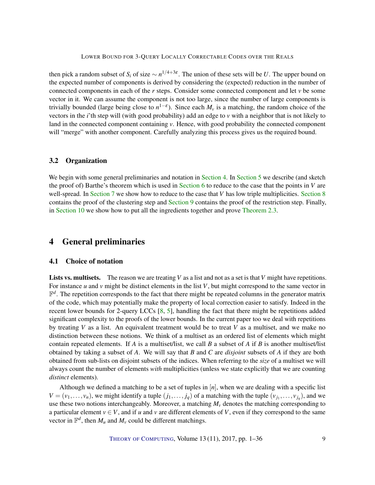<span id="page-8-1"></span>then pick a random subset of  $S_i$  of size  $\sim n^{1/4+3\varepsilon}$ . The union of these sets will be *U*. The upper bound on the expected number of components is derived by considering the (expected) reduction in the number of connected components in each of the *r* steps. Consider some connected component and let *v* be some vector in it. We can assume the component is not too large, since the number of large components is trivially bounded (large being close to  $n^{1-\epsilon}$ ). Since each  $M_{\nu}$  is a matching, the random choice of the vectors in the *i*'th step will (with good probability) add an edge to *v* with a neighbor that is not likely to land in the connected component containing *v*. Hence, with good probability the connected component will "merge" with another component. Carefully analyzing this process gives us the required bound.

## 3.2 Organization

We begin with some general preliminaries and notation in [Section](#page-10-1) [4.](#page-8-0) In Section [5](#page-10-1) we describe (and sketch the proof of) Barthe's theorem which is used in [Section](#page-13-1) [6](#page-13-1) to reduce to the case that the points in *V* are well-spread. In [Section](#page-17-1) [7](#page-15-1) we show how to reduce to the case that *V* has low triple multiplicities. Section [8](#page-17-1) contains the proof of the clustering step and [Section](#page-24-0) [9](#page-24-0) contains the proof of the restriction step. Finally, in [Section](#page-29-1) [10](#page-29-1) we show how to put all the ingredients together and prove [Theorem](#page-5-1) [2.3.](#page-5-1)

## <span id="page-8-0"></span>4 General preliminaries

## 4.1 Choice of notation

Lists vs. multisets. The reason we are treating *V* as a list and not as a set is that *V* might have repetitions. For instance *u* and *v* might be distinct elements in the list *V*, but might correspond to the same vector in  $\mathbb{F}^d$ . The repetition corresponds to the fact that there might be repeated columns in the generator matrix of the code, which may potentially make the property of local correction easier to satisfy. Indeed in the recent lower bounds for 2-query LCCs [\[8,](#page-32-10) [5\]](#page-32-9), handling the fact that there might be repetitions added significant complexity to the proofs of the lower bounds. In the current paper too we deal with repetitions by treating *V* as a list. An equivalent treatment would be to treat *V* as a multiset, and we make no distinction between these notions. We think of a multiset as an ordered list of elements which might contain repeated elements. If *A* is a multiset/list, we call *B* a subset of *A* if *B* is another multiset/list obtained by taking a subset of *A*. We will say that *B* and *C* are *disjoint* subsets of *A* if they are both obtained from sub-lists on disjoint subsets of the indices. When referring to the *size* of a multiset we will always count the number of elements *with* multiplicities (unless we state explicitly that we are counting *distinct* elements).

Although we defined a matching to be a set of tuples in [*n*], when we are dealing with a specific list  $V = (v_1, \ldots, v_n)$ , we might identify a tuple  $(j_1, \ldots, j_q)$  of a matching with the tuple  $(v_{j_1}, \ldots, v_{j_q})$ , and we use these two notions interchangeably. Moreover, a matching  $M<sub>v</sub>$  denotes the matching corresponding to a particular element  $v \in V$ , and if *u* and *v* are different elements of *V*, even if they correspond to the same vector in  $\mathbb{F}^d$ , then  $M_u$  and  $M_v$  could be different matchings.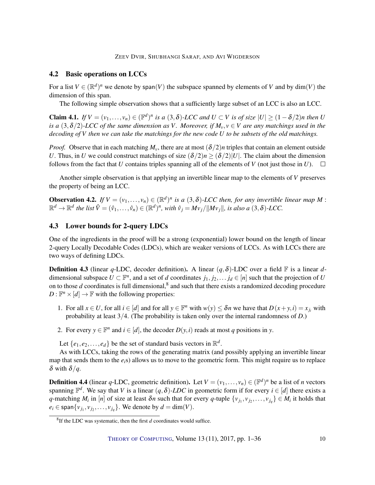ZEEV DVIR, SHUBHANGI SARAF, AND AVI WIGDERSON

## 4.2 Basic operations on LCCs

For a list  $V \in (\mathbb{R}^d)^n$  we denote by span(*V*) the subspace spanned by elements of *V* and by dim(*V*) the dimension of this span.

The following simple observation shows that a sufficiently large subset of an LCC is also an LCC.

<span id="page-9-0"></span>**Claim 4.1.** *If*  $V = (v_1, \ldots, v_n) \in (\mathbb{F}^d)^n$  *is a* (3,  $\delta$ )*-LCC and*  $U \subset V$  *is of size*  $|U| \geq (1 - \delta/2)n$  *then U is a*  $(3, \delta/2)$ *-LCC of the same dimension as V. Moreover, if*  $M_v$ ,  $v \in V$  *are any matchings used in the decoding of V then we can take the matchings for the new code U to be subsets of the old matchings.*

*Proof.* Observe that in each matching  $M_v$ , there are at most  $(\delta/2)n$  triples that contain an element outside *U*. Thus, in *U* we could construct matchings of size  $(\delta/2)n \ge (\delta/2)|U|$ . The claim about the dimension follows from the fact that *U* contains triples spanning all of the elements of *V* (not just those in *U*).  $\square$ 

Another simple observation is that applying an invertible linear map to the elements of *V* preserves the property of being an LCC.

<span id="page-9-1"></span>**Observation 4.2.** *If*  $V = (v_1, \ldots, v_n) \in (\mathbb{R}^d)^n$  *is a* (3,  $\delta$ )-*LCC then, for any invertible linear map M* :  $\mathbb{R}^d \to \mathbb{R}^d$  the list  $\hat{V} = (\hat{v}_1, \dots, \hat{v}_n) \in (\mathbb{R}^d)^n$ , with  $\hat{v}_j = Mv_j/||Mv_j||$ , is also a  $(3, \delta)$ -LCC.

## 4.3 Lower bounds for 2-query LDCs

One of the ingredients in the proof will be a strong (exponential) lower bound on the length of linear 2-query Locally Decodable Codes (LDCs), which are weaker versions of LCCs. As with LCCs there are two ways of defining LDCs.

**Definition 4.3** (linear *q*-LDC, decoder definition). A linear  $(q, \delta)$ -LDC over a field  $\mathbb{F}$  is a linear *d*dimensional subspace  $U \subset \mathbb{F}^n$ , and a set of *d* coordinates  $j_1, j_2, \ldots, j_d \in [n]$  such that the projection of *U* on to those  $d$  coordinates is full dimensional, $^8$  and such that there exists a randomized decoding procedure  $D: \mathbb{F}^n \times [d] \to \mathbb{F}$  with the following properties:

- 1. For all  $x \in U$ , for all  $i \in [d]$  and for all  $y \in \mathbb{F}^n$  with  $w(y) \leq \delta n$  we have that  $D(x+y, i) = x_{j_i}$  with probability at least 3/4. (The probability is taken only over the internal randomness of *D*.)
- 2. For every  $y \in \mathbb{F}^n$  and  $i \in [d]$ , the decoder  $D(y, i)$  reads at most *q* positions in *y*.

Let  $\{e_1, e_2, \ldots, e_d\}$  be the set of standard basis vectors in  $\mathbb{R}^d$ .

As with LCCs, taking the rows of the generating matrix (and possibly applying an invertible linear map that sends them to the *ei*s) allows us to move to the geometric form. This might require us to replace  $\delta$  with  $\delta/q$ .

**Definition 4.4** (linear q-LDC, geometric definition). Let  $V = (v_1, \ldots, v_n) \in (\mathbb{F}^d)^n$  be a list of *n* vectors spanning  $\mathbb{F}^d$ . We say that *V* is a linear  $(q, \delta)$ -LDC in geometric form if for every  $i \in [d]$  there exists a *q*-matching *M*<sup>*i*</sup> in [*n*] of size at least  $\delta n$  such that for every *q*-tuple  $\{v_{j_1}, v_{j_2}, \dots, v_{j_q}\} \in M_i$  it holds that  $e_i \in \text{span}\{v_{j_1}, v_{j_2}, \ldots, v_{j_q}\}.$  We denote by  $d = \dim(V)$ .

<sup>8</sup> If the LDC was systematic, then the first *d* coordinates would suffice.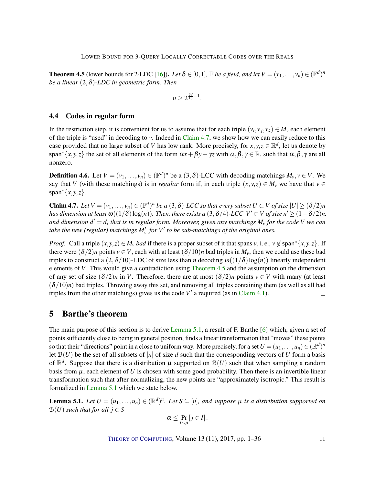<span id="page-10-4"></span><span id="page-10-3"></span>**Theorem 4.5** (lower bounds for 2-LDC [\[16\]](#page-33-5)). Let  $\delta \in [0,1]$ ,  $\mathbb{F}$  *be a field, and let*  $V = (v_1,\ldots,v_n) \in (\mathbb{F}^d)^n$ *be a linear* (2,δ)*-LDC in geometric form. Then*

$$
n\geq 2^{\frac{\delta d}{16}-1}.
$$

## 4.4 Codes in regular form

In the restriction step, it is convenient for us to assume that for each triple  $(v_i, v_j, v_k) \in M_v$  each element of the triple is "used" in decoding to *v*. Indeed in [Claim](#page-10-2) [4.7,](#page-10-2) we show how we can easily reduce to this case provided that no large subset of *V* has low rank. More precisely, for  $x, y, z \in \mathbb{R}^d$ , let us denote by span<sup>\*</sup>{*x*, *y*, *z*} the set of all elements of the form  $\alpha x + \beta y + \gamma z$  with  $\alpha, \beta, \gamma \in \mathbb{R}$ , such that  $\alpha, \beta, \gamma$  are all nonzero.

**Definition 4.6.** Let  $V = (v_1, \ldots, v_n) \in (\mathbb{F}^d)^n$  be a  $(3, \delta)$ -LCC with decoding matchings  $M_v, v \in V$ . We say that *V* (with these matchings) is in *regular* form if, in each triple  $(x, y, z) \in M$ <sup>*v*</sup> we have that  $v \in$ span<sup>∗</sup> $\{x, y, z\}$ .

<span id="page-10-2"></span>**Claim 4.7.** Let  $V = (v_1, \ldots, v_n) \in (\mathbb{F}^d)^n$  be a  $(3, \delta)$ -LCC so that every subset  $U \subset V$  of size  $|U| \geq (\delta/2)n$ *has dimension at least*  $\omega((1/\delta)\log(n))$ *. Then, there exists a*  $(3,\delta/4)$ *-LCC V'*  $\subset$  *V of size n'*  $\geq (1-\delta/2)n$ *, and dimension d* <sup>0</sup> = *d, that is in regular form. Moreover, given any matchings M<sup>v</sup> for the code V we can* take the new (regular) matchings  $M'_{\rm v}$  for V' to be sub-matchings of the original ones.

*Proof.* Call a triple  $(x, y, z) \in M_y$  *bad* if there is a proper subset of it that spans v, i. e.,  $y \notin \text{span}^{\{x, y, z\}}$ . If there were  $(\delta/2)n$  points  $v \in V$ , each with at least  $(\delta/10)n$  bad triples in  $M_v$ , then we could use these bad triples to construct a  $(2,\delta/10)$ -LDC of size less than *n* decoding  $\omega((1/\delta) \log(n))$  linearly independent elements of *V*. This would give a contradiction using [Theorem](#page-10-3) [4.5](#page-10-3) and the assumption on the dimension of any set of size  $(\delta/2)n$  in *V*. Therefore, there are at most  $(\delta/2)n$  points  $v \in V$  with many (at least  $(\delta/10)n$ ) bad triples. Throwing away this set, and removing all triples containing them (as well as all bad triples from the other matchings) gives us the code  $V'$  a required (as in [Claim](#page-9-0) [4.1\)](#page-9-0).  $\Box$ 

## <span id="page-10-1"></span>5 Barthe's theorem

The main purpose of this section is to derive [Lemma](#page-10-0) [5.1,](#page-10-0) a result of F. Barthe [\[6\]](#page-32-11) which, given a set of points sufficiently close to being in general position, finds a linear transformation that "moves" these points so that their "directions" point in a close to uniform way. More precisely, for a set  $U = (u_1, \ldots, u_n) \in (\mathbb{R}^d)^n$ let  $B(U)$  be the set of all subsets of  $[n]$  of size *d* such that the corresponding vectors of *U* form a basis of  $\mathbb{R}^d$ . Suppose that there is a distribution  $\mu$  supported on  $\mathcal{B}(U)$  such that when sampling a random basis from  $\mu$ , each element of U is chosen with some good probability. Then there is an invertible linear transformation such that after normalizing, the new points are "approximately isotropic." This result is formalized in [Lemma](#page-10-0) [5.1](#page-10-0) which we state below.

<span id="page-10-0"></span>**Lemma 5.1.** Let  $U = (u_1, \ldots, u_n) \in (\mathbb{R}^d)^n$ . Let  $S \subseteq [n]$ , and suppose  $\mu$  is a distribution supported on  $\mathcal{B}(U)$  *such that for all*  $j \in S$ 

$$
\alpha\leq \Pr_{I\sim\mu}[j\in I].
$$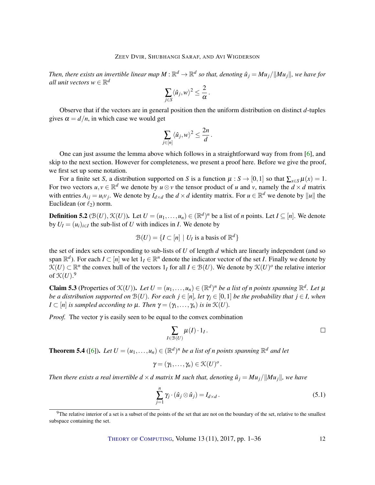<span id="page-11-2"></span>Then, there exists an invertible linear map  $M:\mathbb{R}^d\to\mathbb{R}^d$  so that, denoting  $\hat{u}_j = M u_j/||M u_j||$ , we have for all unit vectors  $w \in \mathbb{R}^d$ 

$$
\sum_{j\in S}\langle \hat{u}_j, w\rangle^2 \leq \frac{2}{\alpha}.
$$

Observe that if the vectors are in general position then the uniform distribution on distinct *d*-tuples gives  $\alpha = d/n$ , in which case we would get

$$
\sum_{j\in[n]} \langle \hat{u}_j, w \rangle^2 \leq \frac{2n}{d}.
$$

One can just assume the lemma above which follows in a straightforward way from from [\[6\]](#page-32-11), and skip to the next section. However for completeness, we present a proof here. Before we give the proof, we first set up some notation.

For a finite set *S*, a distribution supported on *S* is a function  $\mu : S \to [0,1]$  so that  $\sum_{x \in S} \mu(x) = 1$ . For two vectors  $u, v \in \mathbb{R}^d$  we denote by  $u \otimes v$  the tensor product of *u* and *v*, namely the  $d \times d$  matrix with entries  $A_{ij} = u_i v_j$ . We denote by  $I_{d \times d}$  the  $d \times d$  identity matrix. For  $u \in \mathbb{R}^d$  we denote by  $||u||$  the Euclidean (or  $\ell_2$ ) norm.

**Definition 5.2** ( $\mathcal{B}(U)$ ,  $\mathcal{K}(U)$ ). Let  $U = (u_1, \ldots, u_n) \in (\mathbb{R}^d)^n$  be a list of *n* points. Let  $I \subseteq [n]$ . We denote by  $U_I = (u_i)_{i \in I}$  the sub-list of *U* with indices in *I*. We denote by

$$
\mathcal{B}(U) = \{I \subset [n] \mid U_I \text{ is a basis of } \mathbb{R}^d\}
$$

the set of index sets corresponding to sub-lists of *U* of length *d* which are linearly independent (and so span  $\mathbb{R}^d$ ). For each *I*  $\subset$   $[n]$  we let  $1_I \in \mathbb{R}^n$  denote the indicator vector of the set *I*. Finally we denote by  $\mathcal{K}(U) \subset \mathbb{R}^n$  the convex hull of the vectors  $1_I$  for all  $I \in \mathcal{B}(U)$ . We denote by  $\mathcal{K}(U)^o$  the relative interior of  $\mathfrak{K}(U).$ <sup>9</sup>

<span id="page-11-0"></span>**Claim 5.3** (Properties of  $\mathcal{K}(U)$ ). Let  $U = (u_1, \ldots, u_n) \in (\mathbb{R}^d)^n$  be a list of *n* points spanning  $\mathbb{R}^d$ . Let  $\mu$ *be a distribution supported on*  $B(U)$ *. For each*  $j \in [n]$ *, let*  $\gamma_i \in [0,1]$  *be the probability that*  $j \in I$ *, when*  $I \subset [n]$  *is sampled according to*  $\mu$ *. Then*  $\gamma = (\gamma_1, \dots, \gamma_n)$  *is in*  $\mathcal{K}(U)$ *.* 

*Proof.* The vector  $\gamma$  is easily seen to be equal to the convex combination

$$
\sum_{I \in \mathfrak{B}(U)} \mu(I) \cdot 1_I.
$$

<span id="page-11-1"></span>**Theorem 5.4** ([\[6\]](#page-32-11)). Let  $U = (u_1, \ldots, u_n) \in (\mathbb{R}^d)^n$  be a list of n points spanning  $\mathbb{R}^d$  and let

$$
\gamma=(\gamma_1,\ldots,\gamma_n)\in\mathfrak{K}(U)^o.
$$

*Then there exists a real invertible*  $d \times d$  *matrix M such that, denoting*  $\hat{u}_j = M u_j / ||M u_j||$ , we have

$$
\sum_{j=1}^{n} \gamma_j \cdot (\hat{u}_j \otimes \hat{u}_j) = I_{d \times d}.
$$
 (5.1)

 $9$ The relative interior of a set is a subset of the points of the set that are not on the boundary of the set, relative to the smallest subspace containing the set.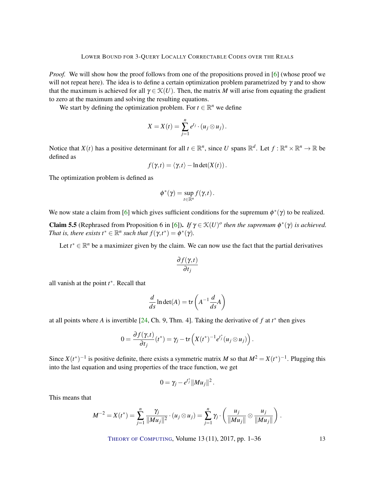<span id="page-12-0"></span>*Proof.* We will show how the proof follows from one of the propositions proved in [\[6\]](#page-32-11) (whose proof we will not repeat here). The idea is to define a certain optimization problem parametrized by  $\gamma$  and to show that the maximum is achieved for all  $\gamma \in \mathcal{K}(U)$ . Then, the matrix *M* will arise from equating the gradient to zero at the maximum and solving the resulting equations.

We start by defining the optimization problem. For  $t \in \mathbb{R}^n$  we define

$$
X=X(t)=\sum_{j=1}^n e^{t_j}\cdot (u_j\otimes u_j).
$$

Notice that  $X(t)$  has a positive determinant for all  $t \in \mathbb{R}^n$ , since U spans  $\mathbb{R}^d$ . Let  $f : \mathbb{R}^n \times \mathbb{R}^n \to \mathbb{R}$  be defined as

$$
f(\gamma,t) = \langle \gamma, t \rangle - \ln \det(X(t)).
$$

The optimization problem is defined as

$$
\phi^*(\gamma)=\sup_{t\in\mathbb{R}^n}f(\gamma,t).
$$

We now state a claim from [\[6\]](#page-32-11) which gives sufficient conditions for the supremum  $\phi^*(\gamma)$  to be realized.

**Claim 5.5** (Rephrased from Proposition 6 in [\[6\]](#page-32-11)). *If*  $\gamma \in \mathcal{K}(U)^o$  *then the supremum*  $\phi^*(\gamma)$  *is achieved. That is, there exists*  $t^* \in \mathbb{R}^n$  *such that*  $f(\gamma,t^*) = \phi^*(\gamma)$ *.* 

Let  $t^* \in \mathbb{R}^n$  be a maximizer given by the claim. We can now use the fact that the partial derivatives

$$
\frac{\partial f(\gamma,t)}{\partial t_j}
$$

all vanish at the point *t* ∗ . Recall that

$$
\frac{d}{ds}\ln \det(A) = \text{tr}\left(A^{-1}\frac{d}{ds}A\right)
$$

at all points where *A* is invertible [\[24,](#page-33-12) Ch. 9, Thm. 4]. Taking the derivative of  $f$  at  $t^*$  then gives

$$
0 = \frac{\partial f(\gamma,t)}{\partial t_j}(t^*) = \gamma_j - \mathop{\rm tr}\left(X(t^*)^{-1}e^{t_j^*}(u_j\otimes u_j)\right).
$$

Since  $X(t^*)^{-1}$  is positive definite, there exists a symmetric matrix *M* so that  $M^2 = X(t^*)^{-1}$ . Plugging this into the last equation and using properties of the trace function, we get

$$
0=\gamma_j-e^{t_j^*}\|Mu_j\|^2.
$$

This means that

$$
M^{-2} = X(t^*) = \sum_{j=1}^n \frac{\gamma_j}{\|Mu_j\|^2} \cdot (u_j \otimes u_j) = \sum_{j=1}^n \gamma_j \cdot \left(\frac{u_j}{\|Mu_j\|} \otimes \frac{u_j}{\|Mu_j\|}\right).
$$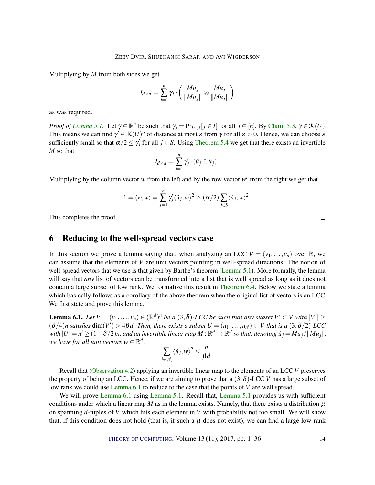Multiplying by *M* from both sides we get

$$
I_{d \times d} = \sum_{j=1}^{n} \gamma_j \cdot \left( \frac{M u_j}{\| M u_j \|} \otimes \frac{M u_j}{\| M u_j \|} \right)
$$

as was required.

*Proof of [Lemma](#page-10-0)* [5.1.](#page-10-0) Let  $\gamma \in \mathbb{R}^n$  be such that  $\gamma_j = Pr_{I \sim \mu}[j \in I]$  for all  $j \in [n]$ . By [Claim](#page-11-0) [5.3,](#page-11-0)  $\gamma \in \mathcal{K}(U)$ . This means we can find  $\gamma' \in \mathcal{K}(U)^o$  of distance at most  $\varepsilon$  from  $\gamma$  for all  $\varepsilon > 0$ . Hence, we can choose  $\varepsilon$ sufficiently small so that  $\alpha/2 \leq \gamma_j'$  for all  $j \in S$ . Using [Theorem](#page-11-1) [5.4](#page-11-1) we get that there exists an invertible *M* so that

$$
I_{d\times d}=\sum_{j=1}^n\gamma'_j\cdot(\hat{u}_j\otimes\hat{u}_j).
$$

Multiplying by the column vector  $w$  from the left and by the row vector  $w<sup>t</sup>$  from the right we get that

$$
1 = \langle w, w \rangle = \sum_{j=1}^n \gamma'_j \langle \hat{u}_j, w \rangle^2 \geq (\alpha/2) \sum_{j \in S} \langle \hat{u}_j, w \rangle^2.
$$

This completes the proof.

## <span id="page-13-1"></span>6 Reducing to the well-spread vectors case

In this section we prove a lemma saying that, when analyzing an LCC  $V = (v_1, \ldots, v_n)$  over  $\mathbb{R}$ , we can assume that the elements of *V* are unit vectors pointing in well-spread directions. The notion of well-spread vectors that we use is that given by Barthe's theorem [\(Lemma](#page-10-0) [5.1\)](#page-10-0). More formally, the lemma will say that *any* list of vectors can be transformed into a list that is well spread as long as it does not contain a large subset of low rank. We formalize this result in [Theorem](#page-15-0) [6.4.](#page-15-0) Below we state a lemma which basically follows as a corollary of the above theorem when the original list of vectors is an LCC. We first state and prove this lemma.

<span id="page-13-0"></span>**Lemma 6.1.** Let  $V = (v_1, \ldots, v_n) \in (\mathbb{R}^d)^n$  be a  $(3, \delta)$ -LCC be such that any subset  $V' \subset V$  with  $|V'| \ge$  $(\delta/4)n$  *satisfies* dim $(V') > 4\beta d$ . Then, there exists a subset  $U = (u_1, \ldots, u_{n'}) \subset V$  that is a  $(3, \delta/2)$ *-LCC*  $W$ ith  $|U|=n'\geq (1-\delta/2)n$ , and an invertible linear map  $M:\mathbb{R}^d\to\mathbb{R}^d$  so that, denoting  $\hat{u}_j=Mu_j/\|Mu_j\|$ , we have for all unit vectors  $w \in \mathbb{R}^d$ .

$$
\sum_{j\in[n']}\langle\hat{u}_j,w\rangle^2\leq\frac{n}{\beta d}
$$

.

Recall that [\(Observation](#page-9-1) [4.2\)](#page-9-1) applying an invertible linear map to the elements of an LCC *V* preserves the property of being an LCC. Hence, if we are aiming to prove that a  $(3,\delta)$ -LCC *V* has a large subset of low rank we could use [Lemma](#page-13-0) [6.1](#page-13-0) to reduce to the case that the points of *V* are well spread.

We will prove [Lemma](#page-10-0) [6.1](#page-13-0) using Lemma [5.1.](#page-10-0) Recall that, Lemma [5.1](#page-10-0) provides us with sufficient conditions under which a linear map  $M$  as in the lemma exists. Namely, that there exists a distribution  $\mu$ on spanning *d*-tuples of *V* which hits each element in *V* with probability not too small. We will show that, if this condition does not hold (that is, if such a  $\mu$  does not exist), we can find a large low-rank

THEORY OF C[OMPUTING](http://dx.doi.org/10.4086/toc), Volume 13 (11), 2017, pp. 1–36 14

 $\Box$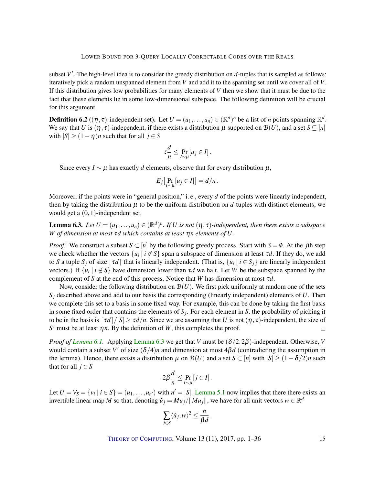subset  $V'$ . The high-level idea is to consider the greedy distribution on  $d$ -tuples that is sampled as follows: iteratively pick a random unspanned element from *V* and add it to the spanning set until we cover all of *V*. If this distribution gives low probabilities for many elements of *V* then we show that it must be due to the fact that these elements lie in some low-dimensional subspace. The following definition will be crucial for this argument.

**Definition 6.2** ( $(\eta, \tau)$ -independent set). Let  $U = (u_1, \ldots, u_n) \in (\mathbb{R}^d)^n$  be a list of *n* points spanning  $\mathbb{R}^d$ . We say that *U* is  $(\eta, \tau)$ -independent, if there exists a distribution  $\mu$  supported on  $\mathcal{B}(U)$ , and a set  $S \subseteq [n]$ with  $|S| \ge (1 - \eta)n$  such that for all  $j \in S$ 

$$
\tau \frac{d}{n} \leq \Pr_{I \sim \mu}[u_j \in I].
$$

Since every  $I \sim \mu$  has exactly *d* elements, observe that for every distribution  $\mu$ ,

$$
E_j\big[\Pr_{I\sim\mu}[u_j\in I]\big]=d/n.
$$

Moreover, if the points were in "general position," i.e., every *d* of the points were linearly independent, then by taking the distribution  $\mu$  to be the uniform distribution on  $d$ -tuples with distinct elements, we would get a (0,1)-independent set.

<span id="page-14-0"></span>**Lemma 6.3.** Let  $U = (u_1, \ldots, u_n) \in (\mathbb{R}^d)^n$ . If U is not  $(\eta, \tau)$ -independent, then there exists a subspace *W of dimension at most* τ*d which contains at least* η*n elements of U.*

*Proof.* We construct a subset  $S \subset [n]$  by the following greedy process. Start with  $S = \emptyset$ . At the *j*th step we check whether the vectors  $\{u_i \mid i \notin S\}$  span a subspace of dimension at least  $\tau d$ . If they do, we add to *S* a tuple  $S_j$  of size  $\lceil \tau d \rceil$  that is linearly independent. (That is,  $\{u_i \mid i \in S_j\}$  are linearly independent vectors.) If  $\{u_i \mid i \notin S\}$  have dimension lower than  $\tau d$  we halt. Let *W* be the subspace spanned by the complement of *S* at the end of this process. Notice that *W* has dimension at most  $\tau d$ .

Now, consider the following distribution on  $\mathcal{B}(U)$ . We first pick uniformly at random one of the sets *S<sup>j</sup>* described above and add to our basis the corresponding (linearly independent) elements of *U*. Then we complete this set to a basis in some fixed way. For example, this can be done by taking the first basis in some fixed order that contains the elements of *S<sup>j</sup>* . For each element in *S*, the probability of picking it to be in the basis is  $\lceil \tau d \rceil / |S| \ge \tau d/n$ . Since we are assuming that *U* is not  $(\eta, \tau)$ -independent, the size of  $S^c$  must be at least  $\eta n$ . By the definition of *W*, this completes the proof.  $\Box$ 

*Proof of [Lemma](#page-14-0) [6.1.](#page-13-0)* Applying Lemma [6.3](#page-14-0) we get that *V* must be  $(\delta/2, 2\beta)$ -independent. Otherwise, *V* would contain a subset *V'* of size  $(\delta/4)n$  and dimension at most  $4\beta d$  (contradicting the assumption in the lemma). Hence, there exists a distribution  $\mu$  on  $\mathcal{B}(U)$  and a set  $S \subset [n]$  with  $|S| \geq (1 - \delta/2)n$  such that for all  $j \in S$ 

$$
2\beta \frac{d}{n} \le \Pr_{I \sim \mu}[j \in I].
$$

Let  $U = V_S = \{v_i \mid i \in S\} = (u_1, \ldots, u_{n'})$  with  $n' = |S|$ . [Lemma](#page-10-0) [5.1](#page-10-0) now implies that there there exists an invertible linear map *M* so that, denoting  $\hat{u}_j = M u_j / ||M u_j||$ , we have for all unit vectors  $w \in \mathbb{R}^d$ 

$$
\sum_{j\in S}\langle \hat{u}_j,w\rangle^2\leq \frac{n}{\beta d}.
$$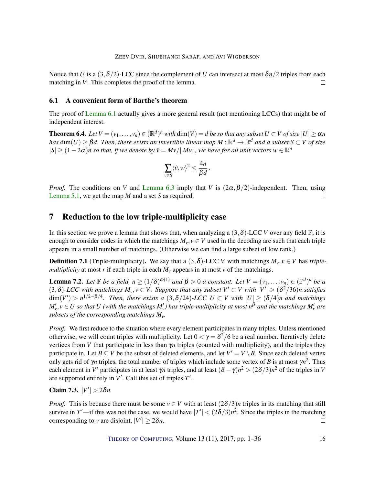Notice that *U* is a  $(3,\delta/2)$ -LCC since the complement of *U* can intersect at most  $\delta n/2$  triples from each matching in *V*. This completes the proof of the lemma.  $\Box$ 

## 6.1 A convenient form of Barthe's theorem

The proof of [Lemma](#page-13-0) [6.1](#page-13-0) actually gives a more general result (not mentioning LCCs) that might be of independent interest.

<span id="page-15-0"></span>**Theorem 6.4.** Let  $V = (v_1, \ldots, v_n) \in (\mathbb{R}^d)^n$  with  $\dim(V) = d$  be so that any subset  $U \subset V$  of size  $|U| \ge \alpha n$  $\theta$  *has*  $dim(U) \geq \beta d$ . Then, there exists an invertible linear map  $M$  :  $\mathbb{R}^d \to \mathbb{R}^d$  and a subset  $S \subset V$  of size  $|S| \ge (1-2\alpha)n$  so that, if we denote by  $\hat{v} = Mv/||Mv||$ , we have for all unit vectors  $w \in \mathbb{R}^d$ 

$$
\sum_{v\in S}\langle \hat{v}, w\rangle^2 \leq \frac{4n}{\beta d}.
$$

*Proof.* The conditions on *V* and [Lemma](#page-14-0) [6.3](#page-14-0) imply that *V* is  $(2\alpha, \beta/2)$ -independent. Then, using [Lemma](#page-10-0) [5.1,](#page-10-0) we get the map *M* and a set *S* as required.  $\Box$ 

## <span id="page-15-1"></span>7 Reduction to the low triple-multiplicity case

In this section we prove a lemma that shows that, when analyzing a  $(3, \delta)$ -LCC *V* over any field  $\mathbb{F}$ , it is enough to consider codes in which the matchings  $M_v$ ,  $v \in V$  used in the decoding are such that each triple appears in a small number of matchings. (Otherwise we can find a large subset of low rank.)

**Definition 7.1** (Triple-multiplicity). We say that a  $(3, \delta)$ -LCC *V* with matchings  $M_v, v \in V$  has *triplemultiplicity* at most *r* if each triple in each  $M_v$  appears in at most *r* of the matchings.

<span id="page-15-2"></span>**Lemma 7.2.** Let  $\mathbb{F}$  be a field,  $n \geq (1/\delta)^{\omega(1)}$  and  $\beta > 0$  a constant. Let  $V = (v_1, \ldots, v_n) \in (\mathbb{F}^d)^n$  be a  $(3, \delta)$ -LCC with matchings  $M_v, v \in V$ . Suppose that any subset  $V' \subset V$  with  $|V'| > (\delta^2/36)$ n satisfies  $\dim(V') > n^{1/2-\beta/4}$ . Then, there exists a  $(3,\delta/24)$ -LCC  $U \subset V$  with  $|U| \geq (\delta/4)n$  and matchings  $M'_v, v \in U$  *so that U (with the matchings*  $M'_v$ *) has triple-multiplicity at most*  $n^{\beta}$  *and the matchings*  $M'_v$  *are subsets of the corresponding matchings Mv.*

*Proof.* We first reduce to the situation where every element participates in many triples. Unless mentioned otherwise, we will count triples with multiplicity. Let  $0 < \gamma = \delta^2/6$  be a real number. Iteratively delete vertices from *V* that participate in less than γ*n* triples (counted with multiplicity), and the triples they participate in. Let  $B \subseteq V$  be the subset of deleted elements, and let  $V' = V \setminus B$ . Since each deleted vertex only gets rid of  $\gamma n$  triples, the total number of triples which include some vertex of *B* is at most  $\gamma n^2$ . Thus each element in *V'* participates in at least  $\gamma n$  triples, and at least  $(\delta - \gamma)n^2 > (2\delta/3)n^2$  of the triples in *V* are supported entirely in  $V'$ . Call this set of triples  $T'$ .

Claim 7.3.  $|V'| > 2\delta n$ .

*Proof.* This is because there must be some  $v \in V$  with at least  $(2\delta/3)n$  triples in its matching that still survive in *T'*—if this was not the case, we would have  $|T'| < (2\delta/3)n^2$ . Since the triples in the matching corresponding to *v* are disjoint,  $|V'| \ge 2\delta n$ .  $\Box$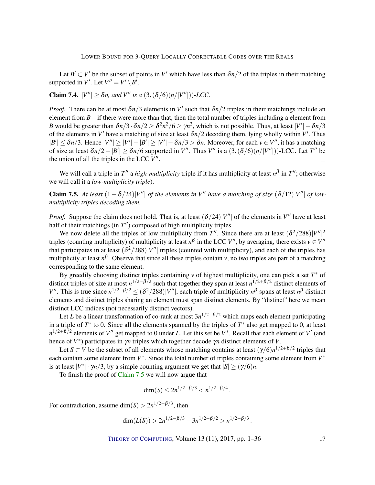Let  $B' \subset V'$  be the subset of points in  $V'$  which have less than  $\delta n/2$  of the triples in their matching supported in  $V'$ . Let  $V'' = V' \setminus B'$ .

**Claim 7.4.**  $|V''| \geq \delta n$ , and V'' is a  $(3, (\delta/6)(n/|V''|))$ *-LCC*.

*Proof.* There can be at most  $\delta n/3$  elements in V' such that  $\delta n/2$  triples in their matchings include an element from *B*—if there were more than that, then the total number of triples including a element from *B* would be greater than  $\delta n/3 \cdot \delta n/2 \ge \delta^2 n^2/6 \ge \gamma n^2$ , which is not possible. Thus, at least  $|V'| - \delta n/3$ of the elements in  $V'$  have a matching of size at least  $\delta n/2$  decoding them, lying wholly within  $V'$ . Thus  $|B'| \leq \delta n/3$ . Hence  $|V''| \geq |V'| - |B'| \geq |V'| - \delta n/3 > \delta n$ . Moreover, for each  $v \in V''$ , it has a matching of size at least  $\delta n/2 - |B'| \ge \delta n/6$  supported in *V*". Thus *V*" is a  $(3, (\delta/6)(n/|V''|))$ -LCC. Let *T*" be the union of all the triples in the LCC  $V''$ .  $\Box$ 

We will call a triple in  $T''$  a *high-multiplicity* triple if it has multiplicity at least  $n^{\beta}$  in  $T''$ ; otherwise we will call it a *low-multiplicity triple*).

<span id="page-16-0"></span>**Claim 7.5.** At least  $(1 - \delta/24)|V''|$  of the elements in  $V''$  have a matching of size  $(\delta/12)|V''|$  of low*multiplicity triples decoding them.*

*Proof.* Suppose the claim does not hold. That is, at least  $(\delta/24)|V''|$  of the elements in  $V''$  have at least half of their matchings (in  $T''$ ) composed of high multiplicity triples.

We now delete all the triples of low multiplicity from  $T''$ . Since there are at least  $(\delta^2/288)|V''|^2$ triples (counting multiplicity) of multiplicity at least  $n^{\beta}$  in the LCC *V*<sup>*n*</sup>, by averaging, there exists  $v \in V''$ that participates in at least  $(\delta^2/288)|V''|$  triples (counted with multiplicity), and each of the triples has multiplicity at least *n* β . Observe that since all these triples contain *v*, no two triples are part of a matching corresponding to the same element.

By greedily choosing distinct triples containing *v* of highest multiplicity, one can pick a set *T* <sup>∗</sup> of distinct triples of size at most  $n^{1/2-\beta/2}$  such that together they span at least  $n^{1/2+\beta/2}$  distinct elements of *V*<sup>*n*</sup>. This is true since  $n^{1/2+\beta/2} \le (\delta^2/288)|V''|$ , each triple of multiplicity  $n^{\beta}$  spans at least  $n^{\beta}$  distinct elements and distinct triples sharing an element must span distinct elements. By "distinct" here we mean distinct LCC indices (not necessarily distinct vectors).

Let *L* be a linear transformation of co-rank at most 3*n* <sup>1</sup>/2−β/<sup>2</sup> which maps each element participating in a triple of  $T^*$  to 0. Since all the elements spanned by the triples of  $T^*$  also get mapped to 0, at least  $n^{1/2+\beta/2}$  elements of *V*<sup>"</sup> get mapped to 0 under *L*. Let this set be *V*<sup>\*</sup>. Recall that each element of *V*<sup>'</sup> (and hence of  $V^*$ ) participates in  $\gamma$ *n* triples which together decode  $\gamma$ *n* distinct elements of *V*.

Let  $S \subset V$  be the subset of all elements whose matching contains at least  $(\gamma/6)n^{1/2+\beta/2}$  triples that each contain some element from  $V^*$ . Since the total number of triples containing some element from  $V^*$ is at least  $|V^*| \cdot \gamma_n/3$ , by a simple counting argument we get that  $|S| \ge (\gamma/6)n$ .

To finish the proof of [Claim](#page-16-0) [7.5](#page-16-0) we will now argue that

$$
\dim(S) \le 2n^{1/2-\beta/3} < n^{1/2-\beta/4}.
$$

For contradiction, assume  $\dim(S) > 2n^{1/2-\beta/3}$ , then

$$
\dim(L(S)) > 2n^{1/2-\beta/3} - 3n^{1/2-\beta/2} > n^{1/2-\beta/3}.
$$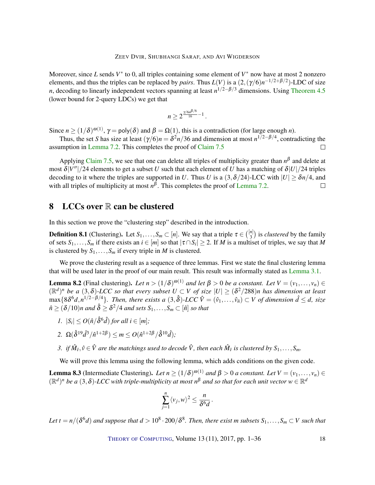Moreover, since *L* sends  $V^*$  to 0, all triples containing some element of  $V^*$  now have at most 2 nonzero elements, and thus the triples can be replaced by *pairs*. Thus  $L(V)$  is a  $(2, (\gamma/6)n^{-1/2+\beta/2})$ -LDC of size *n*, decoding to linearly independent vectors spanning at least *n*<sup>1/2−β/3</sup> dimensions. Using [Theorem](#page-10-3) [4.5](#page-10-3) (lower bound for 2-query LDCs) we get that

$$
n\geq 2^{\frac{\gamma/6n^{\beta/6}}{16}-1}.
$$

Since  $n \ge (1/\delta)^{\omega(1)}$ ,  $\gamma = \text{poly}(\delta)$  and  $\beta = \Omega(1)$ , this is a contradiction (for large enough *n*).

Thus, the set *S* has size at least  $(\gamma/6)n = \frac{\delta^2 n}{36}$  and dimension at most  $n^{1/2-\beta/4}$ , contradicting the assumption in [Lemma](#page-15-2) [7.2.](#page-15-2) This completes the proof of [Claim](#page-16-0) [7.5](#page-16-0)  $\Box$ 

Applying [Claim](#page-16-0) [7.5,](#page-16-0) we see that one can delete all triples of multiplicity greater than  $n^{\beta}$  and delete at most  $\delta |V''|/24$  elements to get a subset *U* such that each element of *U* has a matching of  $\delta |U|/24$  triples decoding to it where the triples are supported in *U*. Thus *U* is a  $(3, \delta/24)$ -LCC with  $|U| \ge \delta n/4$ , and with all triples of multiplicity at most  $n^{\beta}$ . This completes the proof of [Lemma](#page-15-2) [7.2.](#page-15-2)  $\Box$ 

# <span id="page-17-1"></span>8 LCCs over  $\mathbb R$  can be clustered

In this section we prove the "clustering step" described in the introduction.

**Definition 8.1** (Clustering). Let  $S_1, \ldots, S_m \subset [n]$ . We say that a triple  $\tau \in \binom{[n]}{3}$  $\binom{n}{3}$  is *clustered* by the family of sets  $S_1, \ldots, S_m$  if there exists an  $i \in [m]$  so that  $|\tau \cap S_i| \geq 2$ . If *M* is a multiset of triples, we say that *M* is clustered by  $S_1, \ldots, S_m$  if every triple in *M* is clustered.

We prove the clustering result as a sequence of three lemmas. First we state the final clustering lemma that will be used later in the proof of our main result. This result was informally stated as [Lemma](#page-5-2) [3.1.](#page-5-2)

<span id="page-17-0"></span>Lemma 8.2 (Final clustering). Let  $n > (1/\delta)^{\omega(1)}$  and let  $\beta > 0$  be a constant. Let  $V = (v_1, \ldots, v_n) \in$  $(\mathbb{R}^d)^n$  *be a*  $(3,\delta)$ -LCC so that every subset  $U \subset V$  of size  $|U| \geq (\delta^2/288)n$  has dimension at least  $\max\{8\delta^6d, n^{1/2-\beta/4}\}.$  Then, there exists a  $(3,\hat{\delta})$ -LCC  $\hat{V}=(\hat{v}_1,\ldots,\hat{v}_n)\subset V$  of dimension  $\hat{d}\leq d$ , size  $\hat{n} \geq (\delta/10)n$  and  $\hat{\delta} \geq \delta^2/4$  and sets  $S_1,\ldots,S_m \subset [\hat{n}]$  so that

- *1.*  $|S_i| \leq O(\hat{n}/\hat{\delta}^6 \hat{d})$  *for all i*  $\in [m]$ *;*
- 2.  $\Omega(\hat{\delta}^{19} \hat{d}^3 / \hat{n}^{1+2\beta}) \le m \le O(\hat{n}^{1+2\beta} / \hat{\delta}^{10} \hat{d});$
- 3. if  $\hat{M}_{\hat{v}}, \hat{v} \in \hat{V}$  are the matchings used to decode  $\hat{V}$ , then each  $\hat{M}_{\hat{v}}$  is clustered by  $S_1, \ldots, S_m$ .

We will prove this lemma using the following lemma, which adds conditions on the given code.

<span id="page-17-2"></span>Lemma 8.3 (Intermediate Clustering). Let  $n \ge (1/\delta)^{\omega(1)}$  and  $\beta > 0$  a constant. Let  $V = (v_1, \ldots, v_n) \in$  $(\mathbb{R}^d)^n$  be a  $(3, \delta)$ -LCC with triple-multiplicity at most  $n^{\beta}$  and so that for each unit vector  $w \in \mathbb{R}^d$ 

$$
\sum_{j=1}^n \langle v_j, w \rangle^2 \leq \frac{n}{\delta^6 d}.
$$

Let  $t = n/(\delta^6 d)$  and suppose that  $d > 10^8\cdot 200/\delta^8$ . Then, there exist  $m$  subsets  $S_1,\ldots,S_m\subset V$  such that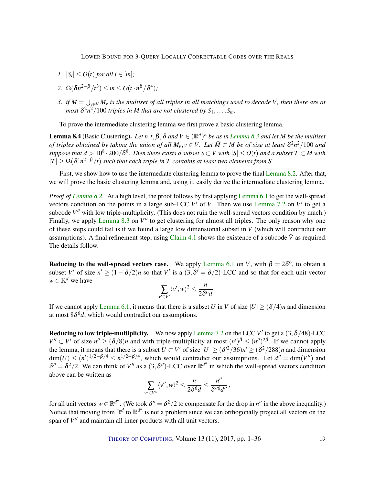- *1.*  $|S_i| \leq O(t)$  *for all i*  $\in [m]$ *;*
- 2.  $\Omega(\delta n^{2-\beta}/t^3) \leq m \leq O(t \cdot n^{\beta}/\delta^4);$
- *3.* if  $M = \bigcup_{v \in V} M_v$  is the multiset of all triples in all matchings used to decode  $V$ , then there are at most  $\delta^2 n^2/100$  triples in M that are not clustered by  $S_1,\ldots,S_m$ .

To prove the intermediate clustering lemma we first prove a basic clustering lemma.

<span id="page-18-0"></span>**[Lemma](#page-17-2) 8.4** (Basic Clustering). Let  $n,t,\beta,\delta$  and  $V \in (\mathbb{R}^d)^n$  be as in Lemma [8.3](#page-17-2) and let M be the multiset *of triples obtained by taking the union of all*  $M_v, v \in V$ . Let  $\bar{M} \subset M$  be of size at least  $\delta^2 n^2/100$  and  $s$ uppose that  $d > 10^8\cdot 200/\delta^8$ . Then there exists a subset  $S\subset V$  with  $|S|\leq O(t)$  and a subset  $T\subset \bar M$  with  $|T| \ge \Omega(\delta^4 n^{2-\beta}/t)$  *such that each triple in T contains at least two elements from S.* 

First, we show how to use the intermediate clustering lemma to prove the final [Lemma](#page-17-0) [8.2.](#page-17-0) After that, we will prove the basic clustering lemma and, using it, easily derive the intermediate clustering lemma.

*Proof of [Lemma](#page-17-0) [8.2.](#page-17-0)* At a high level, the proof follows by first applying [Lemma](#page-13-0) [6.1](#page-13-0) to get the well-spread vectors condition on the points in a large sub-LCC  $V'$  of  $V$ . Then we use [Lemma](#page-15-2) [7.2](#page-15-2) on  $V'$  to get a subcode V<sup>"</sup> with low triple-multiplicity. (This does not ruin the well-spread vectors condition by much.) Finally, we apply [Lemma](#page-17-2) [8.3](#page-17-2) on V<sup>II</sup> to get clustering for almost all triples. The only reason why one of these steps could fail is if we found a large low dimensional subset in *V* (which will contradict our assumptions). A final refinement step, using [Claim](#page-9-0) [4.1](#page-9-0) shows the existence of a subcode  $\hat{V}$  as required. The details follow.

**Reducing to the well-spread vectors case.** We apply [Lemma](#page-13-0) [6.1](#page-13-0) on *V*, with  $\beta = 2\delta^6$ , to obtain a subset *V'* of size  $n' \ge (1 - \delta/2)n$  so that *V'* is a  $(3, \delta' = \delta/2)$ -LCC and so that for each unit vector  $w \in \mathbb{R}^d$  we have

$$
\sum_{v' \in V'} \langle v', w \rangle^2 \leq \frac{n}{2\delta^6 d}.
$$

If we cannot apply [Lemma](#page-13-0) [6.1,](#page-13-0) it means that there is a subset *U* in *V* of size  $|U| \ge (\delta/4)n$  and dimension at most  $8\delta^6 d$ , which would contradict our assumptions.

**Reducing to low triple-multiplicity.** We now apply [Lemma](#page-15-2) [7.2](#page-15-2) on the LCC  $V'$  to get a  $(3, \delta/48)$ -LCC  $V'' \subset V'$  of size  $n'' \geq (\delta/8)n$  and with triple-multiplicity at most  $(n')^{\beta} \leq (n'')^{2\beta}$ . If we cannot apply the lemma, it means that there is a subset  $U \subset V'$  of size  $|U| \ge (\delta'^2/36)n' \ge (\delta^2/288)n$  and dimension  $\dim(U) \leq (n')^{1/2-\beta/4} \leq n^{1/2-\beta/4}$ , which would contradict our assumptions. Let  $d'' = \dim(V'')$  and  $\delta'' = \delta^2/2$ . We can think of *V*<sup>n</sup> as a (3,  $\delta''$ )-LCC over  $\mathbb{R}^{d''}$  in which the well-spread vectors condition above can be written as  $\prime$ 

$$
\sum_{v'' \in V''}\langle v'',w\rangle^2 \leq \frac{n}{2\delta^6 d} \leq \frac{n''}{\delta''^6 d''},
$$

for all unit vectors  $w \in \mathbb{R}^{d''}$ . (We took  $\delta'' = \delta^2/2$  to compensate for the drop in  $n''$  in the above inequality.) Notice that moving from  $\mathbb{R}^d$  to  $\mathbb{R}^{d''}$  is not a problem since we can orthogonally project all vectors on the span of  $V''$  and maintain all inner products with all unit vectors.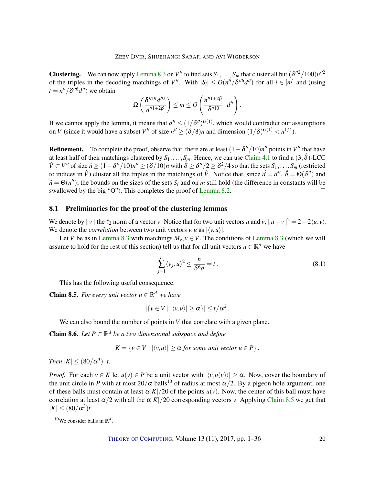**Clustering.** We can now apply [Lemma](#page-17-2) [8.3](#page-17-2) on V'' to find sets  $S_1, \ldots, S_m$  that cluster all but  $(\delta''^2/100)n''^2$ of the triples in the decoding matchings of V''. With  $|S_i| \le O(n''/\delta''^6 d'')$  for all  $i \in [m]$  and (using  $t = n''/\delta''^{6}d''$  we obtain

$$
\Omega\left(\frac{\delta''^{19}d''^3}{n''^{1+2\beta}}\right)\leq m\leq O\left(\frac{n''^{1+2\beta}}{\delta''^{10}}\cdot d''\right).
$$

If we cannot apply the lemma, it means that  $d'' \leq (1/\delta'')^{O(1)}$ , which would contradict our assumptions on *V* (since it would have a subset *V*<sup>*n*</sup> of size  $n'' \ge (\delta/8)n$  and dimension  $(1/\delta)^{O(1)} < n^{1/4}$ ).

**Refinement.** To complete the proof, observe that, there are at least  $(1 - \delta''/10)n''$  points in *V*<sup>*n*</sup> that have at least half of their matchings clustered by  $S_1, \ldots, S_m$ . Hence, we can use [Claim](#page-9-0) [4.1](#page-9-0) to find a  $(3, \hat{\delta})$ -LCC  $\hat{V} \subset V''$  of size  $\hat{n} \ge (1 - \delta''/10)n'' \ge (\delta/10)n$  with  $\hat{\delta} \ge \delta''/2 \ge \delta^2/4$  so that the sets  $S_1, \ldots, S_m$  (restricted to indices in  $\hat{V}$ ) cluster all the triples in the matchings of  $\hat{V}$ . Notice that, since  $\hat{d} = d''$ ,  $\hat{\delta} = \Theta(\delta'')$  and  $\hat{n} = \Theta(n'')$ , the bounds on the sizes of the sets  $S_i$  and on *m* still hold (the difference in constants will be swallowed by the big "O"). This completes the proof of [Lemma](#page-17-0) [8.2.](#page-17-0)  $\Box$ 

## 8.1 Preliminaries for the proof of the clustering lemmas

We denote by  $||v||$  the  $\ell_2$  norm of a vector *v*. Notice that for two unit vectors *u* and *v*,  $||u - v||^2 = 2 - 2\langle u, v \rangle$ . We denote the *correlation* between two unit vectors  $v, u$  as  $|\langle v, u \rangle|$ .

Let *V* be as in [Lemma](#page-17-2) [8.3](#page-17-2) with matchings  $M_v$ ,  $v \in V$ . The conditions of Lemma 8.3 (which we will assume to hold for the rest of this section) tell us that for all unit vectors  $u \in \mathbb{R}^d$  we have

$$
\sum_{j=1}^{n} \langle v_j, u \rangle^2 \le \frac{n}{\delta^6 d} = t. \tag{8.1}
$$

This has the following useful consequence.

<span id="page-19-0"></span>**Claim 8.5.** For every unit vector  $u \in \mathbb{R}^d$  we have

$$
|\{v \in V \mid |\langle v, u \rangle| \ge \alpha\}| \le t/\alpha^2.
$$

We can also bound the number of points in *V* that correlate with a given plane.

<span id="page-19-1"></span>**Claim 8.6.** Let  $P \subset \mathbb{R}^d$  be a two dimensional subspace and define

$$
K = \{ v \in V \mid |\langle v, u \rangle| \ge \alpha \text{ for some unit vector } u \in P \}.
$$

*Then*  $|K| \leq (80/\alpha^3) \cdot t$ .

*Proof.* For each  $v \in K$  let  $u(v) \in P$  be a unit vector with  $|\langle v, u(v) \rangle| > \alpha$ . Now, cover the boundary of the unit circle in *P* with at most  $20/\alpha$  balls<sup>10</sup> of radius at most  $\alpha/2$ . By a pigeon hole argument, one of these balls must contain at least  $\alpha|K|/20$  of the points  $u(v)$ . Now, the center of this ball must have correlation at least  $\alpha/2$  with all the  $\alpha|K|/20$  corresponding vectors *v*. Applying [Claim](#page-19-0) [8.5](#page-19-0) we get that  $|K| \le (80/\alpha^3)t$ .  $\Box$ 

<sup>&</sup>lt;sup>10</sup>We consider balls in  $\mathbb{R}^d$ .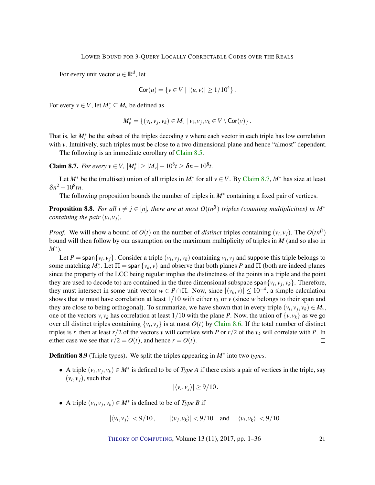For every unit vector  $u \in \mathbb{R}^d$ , let

$$
Cor(u) = \{ v \in V \mid |\langle u, v \rangle| \ge 1/10^4 \}.
$$

For every  $v \in V$ , let  $M_v^* \subseteq M_v$  be defined as

$$
M_{\nu}^* = \{ (v_i, v_j, v_k) \in M_{\nu} \mid v_i, v_j, v_k \in V \setminus \text{Cor}(\nu) \}.
$$

That is, let  $M_{\nu}^*$  be the subset of the triples decoding  $\nu$  where each vector in each triple has low correlation with *v*. Intuitively, such triples must be close to a two dimensional plane and hence "almost" dependent.

The following is an immediate corollary of [Claim](#page-19-0) [8.5.](#page-19-0)

<span id="page-20-0"></span>**Claim 8.7.** *For every*  $v \in V$ ,  $|M_v^*| \ge |M_v| - 10^8 t \ge \delta n - 10^8 t$ .

Let  $M^*$  be the (multiset) union of all triples in  $M_v^*$  for all  $v \in V$ . By [Claim](#page-20-0) [8.7,](#page-20-0)  $M^*$  has size at least  $\delta n^2 - 10^8$ tn.

The following proposition bounds the number of triples in  $M^*$  containing a fixed pair of vertices.

<span id="page-20-1"></span>**Proposition 8.8.** For all  $i \neq j \in [n]$ , there are at most  $O(tn^{\beta})$  triples (counting multiplicities) in M<sup>\*</sup> *containing the pair*  $(v_i, v_j)$ *.* 

*Proof.* We will show a bound of  $O(t)$  on the number of *distinct* triples containing  $(v_i, v_j)$ . The  $O(tn^{\beta})$ bound will then follow by our assumption on the maximum multiplicity of triples in *M* (and so also in *M*<sup>∗</sup> ).

Let  $P = \text{span}\{v_i, v_j\}$ . Consider a triple  $(v_i, v_j, v_k)$  containing  $v_i, v_j$  and suppose this triple belongs to some matching  $M_v^*$ . Let  $\Pi = \text{span}\{v_k, v\}$  and observe that both planes *P* and  $\Pi$  (both are indeed planes since the property of the LCC being regular implies the distinctness of the points in a triple and the point they are used to decode to) are contained in the three dimensional subspace span $\{v_i, v_j, v_k\}$ . Therefore, they must intersect in some unit vector  $w \in P \cap \Pi$ . Now, since  $|\langle v_k, v \rangle| \le 10^{-4}$ , a simple calculation shows that *w* must have correlation at least  $1/10$  with either  $v_k$  or *v* (since *w* belongs to their span and they are close to being orthogonal). To summarize, we have shown that in every triple  $(v_i, v_j, v_k) \in M_v$ , one of the vectors  $v, v_k$  has correlation at least 1/10 with the plane *P*. Now, the union of  $\{v, v_k\}$  as we go over all distinct triples containing  $\{v_i, v_j\}$  is at most  $O(t)$  by [Claim](#page-19-1) [8.6.](#page-19-1) If the total number of distinct triples is *r*, then at least  $r/2$  of the vectors *v* will correlate with *P* or  $r/2$  of the  $v_k$  will correlate with *P*. In either case we see that  $r/2 = O(t)$ , and hence  $r = O(t)$ .  $\Box$ 

Definition 8.9 (Triple types). We split the triples appearing in *M*<sup>∗</sup> into two *types*.

• A triple  $(v_i, v_j, v_k) \in M^*$  is defined to be of *Type A* if there exists a pair of vertices in the triple, say  $(v_i, v_j)$ , such that

$$
|\langle v_i, v_j \rangle| \ge 9/10.
$$

• A triple  $(v_i, v_j, v_k) \in M^*$  is defined to be of *Type B* if

$$
|\langle v_i, v_j \rangle|
$$
 < 9/10,  $|\langle v_j, v_k \rangle|$  < 9/10 and  $|\langle v_i, v_k \rangle|$  < 9/10.

THEORY OF C[OMPUTING](http://dx.doi.org/10.4086/toc), Volume 13 (11), 2017, pp. 1–36 21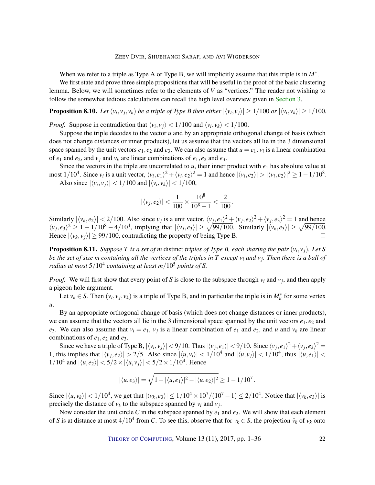#### ZEEV DVIR, SHUBHANGI SARAF, AND AVI WIGDERSON

When we refer to a triple as Type A or Type B, we will implicitly assume that this triple is in *M*<sup>∗</sup> .

We first state and prove three simple propositions that will be useful in the proof of the basic clustering lemma. Below, we will sometimes refer to the elements of *V* as "vertices." The reader not wishing to follow the somewhat tedious calculations can recall the high level overview given in [Section](#page-5-0) [3.](#page-5-0)

<span id="page-21-0"></span>**Proposition 8.10.** Let  $(v_i, v_j, v_k)$  be a triple of Type B then either  $|\langle v_i, v_j \rangle| \ge 1/100$  or  $|\langle v_i, v_k \rangle| \ge 1/100$ .

*Proof.* Suppose in contradiction that  $\langle v_i, v_j \rangle < 1/100$  and  $\langle v_i, v_k \rangle < 1/100$ .

Suppose the triple decodes to the vector  $u$  and by an appropriate orthogonal change of basis (which does not change distances or inner products), let us assume that the vectors all lie in the 3 dimensional space spanned by the unit vectors  $e_1, e_2$  and  $e_3$ . We can also assume that  $u = e_1$ ,  $v_i$  is a linear combination of  $e_1$  and  $e_2$ , and  $v_j$  and  $v_k$  are linear combinations of  $e_1, e_2$  and  $e_3$ .

Since the vectors in the triple are uncorrelated to  $u$ , their inner product with  $e_1$  has absolute value at most  $1/10^4$ . Since  $v_i$  is a unit vector,  $\langle v_i, e_1 \rangle^2 + \langle v_i, e_2 \rangle^2 = 1$  and hence  $|\langle v_i, e_2 \rangle| > |\langle v_i, e_2 \rangle|^2 \ge 1 - 1/10^8$ . Also since  $|\langle v_i, v_j \rangle| < 1/100$  and  $|\langle v_i, v_k \rangle| < 1/100$ ,

$$
|\langle v_j, e_2 \rangle| < \frac{1}{100} \times \frac{10^8}{10^8 - 1} < \frac{2}{100}
$$

.

Similarly  $|\langle v_k, e_2 \rangle|$  < 2/100. Also since  $v_j$  is a unit vector,  $\langle v_j, e_1 \rangle^2 + \langle v_j, e_2 \rangle^2 + \langle v_j, e_3 \rangle^2 = 1$  and hence  $\langle v_j, e_3 \rangle^2 \ge 1 - 1/10^8 - 4/10^4$ , implying that  $|\langle v_j, e_3 \rangle| \ge \sqrt{99/100}$ . Similarly  $|\langle v_k, e_3 \rangle| \ge \sqrt{99/100}$ . Hence  $|\langle v_k, v_j \rangle| \geq 99/100$ , contradicting the property of being Type B.  $\Box$ 

<span id="page-21-1"></span>Proposition 8.11. *Suppose T is a set of m* distinct *triples of Type B, each sharing the pair* (*v<sup>i</sup>* , *vj*)*. Let S be the set of size m containing all the vertices of the triples in T except v<sup>i</sup> and v<sup>j</sup> . Then there is a ball of radius at most* 5/10<sup>4</sup> *containing at least m*/10<sup>5</sup> *points of S.*

*Proof.* We will first show that every point of *S* is close to the subspace through  $v_i$  and  $v_j$ , and then apply a pigeon hole argument.

Let  $v_k \in S$ . Then  $(v_i, v_j, v_k)$  is a triple of Type B, and in particular the triple is in  $M_u^*$  for some vertex *u*.

By an appropriate orthogonal change of basis (which does not change distances or inner products), we can assume that the vectors all lie in the 3 dimensional space spanned by the unit vectors  $e_1, e_2$  and *e*<sub>3</sub>. We can also assume that  $v_i = e_1$ ,  $v_j$  is a linear combination of  $e_1$  and  $e_2$ , and *u* and  $v_k$  are linear combinations of  $e_1$ ,  $e_2$  and  $e_3$ .

Since we have a triple of Type B,  $|\langle v_i, v_j \rangle|$  < 9/10. Thus  $|\langle v_j, e_1 \rangle|$  < 9/10. Since  $\langle v_j, e_1 \rangle^2 + \langle v_j, e_2 \rangle^2$  = 1, this implies that  $|\langle v_j, e_2 \rangle| > 2/5$ . Also since  $|\langle u, v_i \rangle| < 1/10^4$  and  $|\langle u, v_j \rangle| < 1/10^4$ , thus  $|\langle u, e_1 \rangle|$  <  $1/10^4$  and  $|\langle u, e_2 \rangle| < 5/2 \times |\langle u, v_j \rangle| < 5/2 \times 1/10^4$ . Hence

$$
|\langle u,e_3\rangle|=\sqrt{1-|\langle u,e_1\rangle|^2-|\langle u,e_2\rangle|^2}\geq 1-1/10^7.
$$

Since  $|\langle u, v_k \rangle|$  < 1/10<sup>4</sup>, we get that  $|\langle v_k, e_3 \rangle| \le 1/10^4 \times 10^7/(10^7 - 1) \le 2/10^4$ . Notice that  $|\langle v_k, e_3 \rangle|$  is precisely the distance of  $v_k$  to the subspace spanned by  $v_i$  and  $v_j$ .

Now consider the unit circle C in the subspace spanned by  $e_1$  and  $e_2$ . We will show that each element of *S* is at distance at most  $4/10^4$  from *C*. To see this, observe that for  $v_k \in S$ , the projection  $\bar{v}_k$  of  $v_k$  onto

THEORY OF C[OMPUTING](http://dx.doi.org/10.4086/toc), Volume 13 (11), 2017, pp. 1–36 22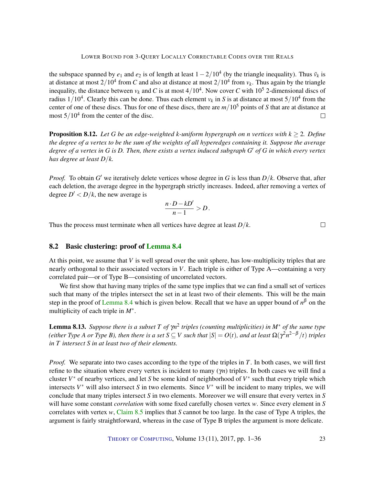the subspace spanned by  $e_1$  and  $e_2$  is of length at least  $1 - 2/10^4$  (by the triangle inequality). Thus  $\bar{v}_k$  is at distance at most  $2/10^4$  from *C* and also at distance at most  $2/10^4$  from  $v_k$ . Thus again by the triangle inequality, the distance between  $v_k$  and C is at most  $4/10^4$ . Now cover C with  $10^5$  2-dimensional discs of radius  $1/10^4$ . Clearly this can be done. Thus each element  $v_k$  in *S* is at distance at most  $5/10^4$  from the center of one of these discs. Thus for one of these discs, there are *m*/10<sup>5</sup> points of *S* that are at distance at most  $5/10^4$  from the center of the disc.  $\Box$ 

<span id="page-22-0"></span>**Proposition 8.12.** *Let G be an edge-weighted k-uniform hypergraph on <i>n vertices with*  $k \geq 2$ *. Define the degree of a vertex to be the sum of the weights of all hyperedges containing it. Suppose the average degree of a vertex in G is D. Then, there exists a vertex induced subgraph G* <sup>0</sup> *of G in which every vertex has degree at least D*/*k.*

*Proof.* To obtain  $G'$  we iteratively delete vertices whose degree in G is less than  $D/k$ . Observe that, after each deletion, the average degree in the hypergraph strictly increases. Indeed, after removing a vertex of degree  $D' < D/k$ , the new average is

$$
\frac{n\cdot D-kD'}{n-1} > D.
$$

Thus the process must terminate when all vertices have degree at least *D*/*k*.

 $\Box$ 

## 8.2 Basic clustering: proof of [Lemma](#page-18-0) [8.4](#page-18-0)

At this point, we assume that  $V$  is well spread over the unit sphere, has low-multiplicity triples that are nearly orthogonal to their associated vectors in *V*. Each triple is either of Type A—containing a very correlated pair—or of Type B—consisting of uncorrelated vectors.

We first show that having many triples of the same type implies that we can find a small set of vertices such that many of the triples intersect the set in at least two of their elements. This will be the main step in the proof of [Lemma](#page-18-0) [8.4](#page-18-0) which is given below. Recall that we have an upper bound of  $n^{\beta}$  on the multiplicity of each triple in *M*<sup>∗</sup> .

<span id="page-22-1"></span>Lemma 8.13. *Suppose there is a subset T of* γ*n* 2 *triples (counting multiplicities) in M*<sup>∗</sup> *of the same type (either Type A or Type B), then there is a set*  $S\subseteq V$  *such that*  $|S|=O(t)$ *, and at least*  $\Omega(\gamma^2n^{2-\beta}/t)$  *triples in T intersect S in at least two of their elements.*

*Proof.* We separate into two cases according to the type of the triples in *T*. In both cases, we will first refine to the situation where every vertex is incident to many (γ*n*) triples. In both cases we will find a cluster  $V^*$  of nearby vertices, and let *S* be some kind of neighborhood of  $V^*$  such that every triple which intersects  $V^*$  will also intersect *S* in two elements. Since  $V^*$  will be incident to many triples, we will conclude that many triples intersect *S* in two elements. Moreover we will ensure that every vertex in *S* will have some constant *correlation* with some fixed carefully chosen vertex *w*. Since every element in *S* correlates with vertex *w*, [Claim](#page-19-0) [8.5](#page-19-0) implies that *S* cannot be too large. In the case of Type A triples, the argument is fairly straightforward, whereas in the case of Type B triples the argument is more delicate.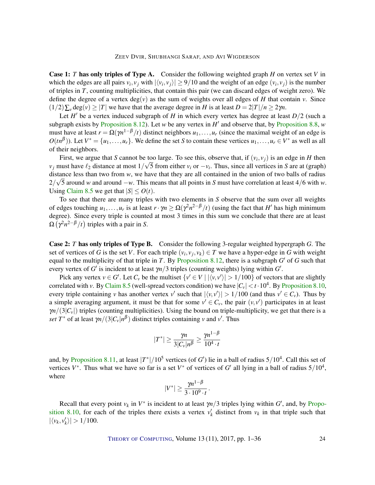#### ZEEV DVIR, SHUBHANGI SARAF, AND AVI WIGDERSON

Case 1: *T* has only triples of Type A. Consider the following weighted graph *H* on vertex set *V* in which the edges are all pairs  $v_i$ ,  $v_j$  with  $|\langle v_i, v_j \rangle| \ge 9/10$  and the weight of an edge  $(v_i, v_j)$  is the number of triples in *T*, counting multiplicities, that contain this pair (we can discard edges of weight zero). We define the degree of a vertex  $deg(v)$  as the sum of weights over all edges of *H* that contain *v*. Since  $(1/2)\sum_{\nu} \text{deg}(\nu) \ge |T|$  we have that the average degree in *H* is at least  $D = 2|T|/n \ge 2\gamma n$ .

Let  $H'$  be a vertex induced subgraph of  $H$  in which every vertex has degree at least  $D/2$  (such a subgraph exists by [Proposition](#page-20-1) [8.12\)](#page-22-0). Let *w* be any vertex in  $H'$  and observe that, by Proposition [8.8,](#page-20-1) *w* must have at least  $r = \Omega(\gamma n^{1-\beta}/t)$  distinct neighbors  $u_1, \ldots, u_r$  (since the maximal weight of an edge is  $O(tn^{\beta})$ ). Let  $V^* = \{u_1, \ldots, u_r\}$ . We define the set *S* to contain these vertices  $u_1, \ldots, u_r \in V^*$  as well as all of their neighbors.

First, we argue that *S* cannot be too large. To see this, observe that, if  $(v_i, v_j)$  is an edge in *H* then  $v_j$  must have  $\ell_2$  distance at most  $1/\sqrt{5}$  from either  $v_i$  or  $-v_i$ . Thus, since all vertices in *S* are at (graph) distance less than two from *w*, we have that they are all contained in the union of two balls of radius  $\sqrt{a}$ 2/ 5 around *w* and around −*w*. This means that all points in *S* must have correlation at least 4/6 with *w*. Using [Claim](#page-19-0) [8.5](#page-19-0) we get that  $|S| \leq O(t)$ .

To see that there are many triples with two elements in *S* observe that the sum over all weights of edges touching  $u_1, \ldots, u_r$  is at least  $r \cdot \gamma n \ge \Omega(\gamma^2 n^{2-\beta}/t)$  (using the fact that  $H'$  has high minimum degree). Since every triple is counted at most 3 times in this sum we conclude that there are at least  $\Omega\left(\gamma^2n^{2-\beta}/t\right)$  triples with a pair in *S*.

Case 2: *T* has only triples of Type B. Consider the following 3-regular weighted hypergraph *G*. The set of vertices of *G* is the set *V*. For each triple  $(v_i, v_j, v_k) \in T$  we have a hyper-edge in *G* with weight equal to the multiplicity of that triple in  $T$ . By [Proposition](#page-22-0) [8.12,](#page-22-0) there is a subgraph  $G'$  of  $G$  such that every vertex of *G'* is incident to at least  $\gamma n/3$  triples (counting weights) lying within *G'*.

Pick any vertex  $v \in G'$ . Let  $C_v$  be the multiset  $\{v' \in V \mid |\langle v, v' \rangle| > 1/100\}$  of vectors that are slightly correlated with *v*. By [Claim](#page-19-0) [8.5](#page-19-0) (well-spread vectors condition) we have  $|C_v| < t \cdot 10^4$ . By [Proposition](#page-21-0) [8.10,](#page-21-0) every triple containing *v* has another vertex *v'* such that  $|\langle v, v' \rangle| > 1/100$  (and thus  $v' \in C_v$ ). Thus by a simple averaging argument, it must be that for some  $v' \in C_v$ , the pair  $(v, v')$  participates in at least  $\gamma n/(3|C_v|)$  triples (counting multiplicities). Using the bound on triple-multiplicity, we get that there is a *set*  $T^*$  of at least  $\gamma n/(3|C_v|n^{\beta})$  distinct triples containing *v* and *v'*. Thus

$$
|T^*| \ge \frac{\gamma n}{3|C_v|n^{\beta}} \ge \frac{\gamma n^{1-\beta}}{10^4 \cdot t}
$$

and, by [Proposition](#page-21-1) [8.11,](#page-21-1) at least  $|T^*|/10^5$  vertices (of *G'*) lie in a ball of radius  $5/10^4$ . Call this set of vertices  $V^*$ . Thus what we have so far is a set  $V^*$  of vertices of *G'* all lying in a ball of radius  $5/10^4$ , where

$$
|V^*| \geq \frac{\gamma n^{1-\beta}}{3 \cdot 10^9 \cdot t}.
$$

Recall that every point  $v_k$  in  $V^*$  is incident to at least  $\gamma n/3$  triples lying within  $G'$ , and, by [Propo](#page-21-0)[sition](#page-21-0) [8.10,](#page-21-0) for each of the triples there exists a vertex  $v'_k$  distinct from  $v_k$  in that triple such that  $|\langle v_k, v'_k \rangle| > 1/100.$ 

THEORY OF C[OMPUTING](http://dx.doi.org/10.4086/toc), Volume 13 (11), 2017, pp. 1–36 24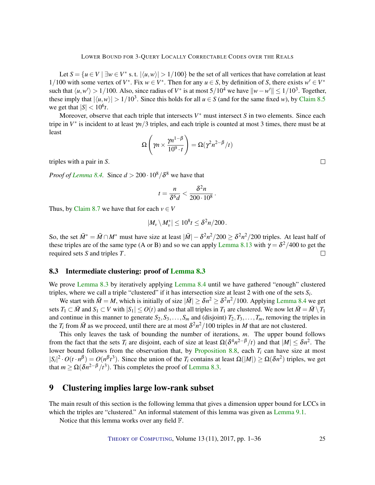Let  $S = \{u \in V \mid \exists w \in V^* \text{ s.t. } |\langle u, w \rangle| > 1/100\}$  be the set of all vertices that have correlation at least 1/100 with some vertex of  $V^*$ . Fix  $w \in V^*$ . Then for any  $u \in S$ , by definition of *S*, there exists  $w' \in V^*$ such that  $\langle u, w' \rangle > 1/100$ . Also, since radius of *V*<sup>\*</sup> is at most  $5/10^4$  we have  $||w - w'|| \le 1/10^3$ . Together, these imply that  $|\langle u, w \rangle| > 1/10^3$ . Since this holds for all  $u \in S$  (and for the same fixed *w*), by [Claim](#page-19-0) [8.5](#page-19-0) we get that  $|S| < 10^6 t$ .

Moreover, observe that each triple that intersects  $V^*$  must intersect *S* in two elements. Since each tripe in  $V^*$  is incident to at least  $\gamma n/3$  triples, and each triple is counted at most 3 times, there must be at least

$$
\Omega\left(\gamma n \times \frac{\gamma n^{1-\beta}}{10^9 \cdot t}\right) = \Omega(\gamma^2 n^{2-\beta}/t)
$$

triples with a pair in *S*.

*Proof of [Lemma](#page-18-0) [8.4.](#page-18-0)* Since  $d > 200 \cdot 10^8 / \delta^8$  we have that

$$
t = \frac{n}{\delta^6 d} < \frac{\delta^2 n}{200 \cdot 10^8}.
$$

Thus, by [Claim](#page-20-0) [8.7](#page-20-0) we have that for each  $v \in V$ 

$$
|M_{v} \setminus M_{v}^{*}| \leq 10^{8} t \leq \delta^{2} n/200.
$$

So, the set  $\bar{M}^* = \bar{M} \cap M^*$  must have size at least  $|\bar{M}| - \delta^2 n^2 / 200 \ge \delta^2 n^2 / 200$  triples. At least half of these triples are of the same type (A or B) and so we can apply [Lemma](#page-22-1) [8.13](#page-22-1) with  $\gamma = \delta^2/400$  to get the required sets *S* and triples *T*.  $\Box$ 

## 8.3 Intermediate clustering: proof of [Lemma](#page-17-2) [8.3](#page-17-2)

We prove [Lemma](#page-17-2) [8.3](#page-17-2) by iteratively applying [Lemma](#page-18-0) [8.4](#page-18-0) until we have gathered "enough" clustered triples, where we call a triple "clustered" if it has intersection size at least 2 with one of the sets *S<sup>i</sup>* .

We start with  $\bar{M} = M$ , which is initially of size  $|\bar{M}| \ge \delta n^2 \ge \delta^2 n^2/100$ . Applying [Lemma](#page-18-0) [8.4](#page-18-0) we get sets  $T_1 \subset \overline{M}$  and  $S_1 \subset V$  with  $|S_1| \leq O(t)$  and so that all triples in  $T_1$  are clustered. We now let  $\overline{M} = \overline{M} \setminus T_1$ and continue in this manner to generate  $S_2, S_3, \ldots, S_m$  and (disjoint)  $T_2, T_3, \ldots, T_m$ , removing the triples in the  $T_i$  from  $\bar{M}$  as we proceed, until there are at most  $\delta^2 n^2/100$  triples in  $M$  that are not clustered.

This only leaves the task of bounding the number of iterations, *m*. The upper bound follows from the fact that the sets  $T_i$  are disjoint, each of size at least  $\Omega(\delta^4 n^{2-\beta}/t)$  and that  $|M| \leq \delta n^2$ . The lower bound follows from the observation that, by [Proposition](#page-20-1) [8.8,](#page-20-1) each  $T_i$  can have size at most  $|S_i|^2 \cdot O(t \cdot n^{\beta}) = O(n^{\beta} t^3)$ . Since the union of the *T<sub>i</sub>* contains at least  $\Omega(|M|) \ge \Omega(\delta n^2)$  triples, we get that  $m \ge \Omega(\delta n^{2-\beta}/t^3)$ . This completes the proof of [Lemma](#page-17-2) [8.3.](#page-17-2)

## <span id="page-24-0"></span>9 Clustering implies large low-rank subset

The main result of this section is the following lemma that gives a dimension upper bound for LCCs in which the triples are "clustered." An informal statement of this lemma was given as [Lemma](#page-25-0) [9.1.](#page-25-0)

Notice that this lemma works over any field F.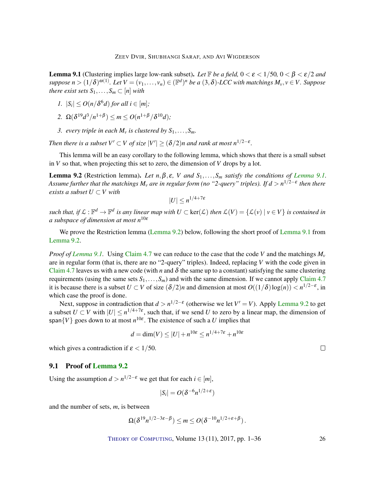<span id="page-25-0"></span>**Lemma 9.1** (Clustering implies large low-rank subset). Let  $\mathbb{F}$  be a field,  $0 < \varepsilon < 1/50$ ,  $0 < \beta < \varepsilon/2$  and  $suppose\ n > (1/\delta)^{\omega(1)}$ . Let  $V = (v_1,\ldots,v_n) \in (\mathbb{F}^d)^n$  be a  $(3,\delta)$ -LCC with matchings  $M_v, v \in V$ . Suppose *there exist sets*  $S_1, \ldots, S_m \subset [n]$  *with* 

- *1.*  $|S_i| \leq O(n/\delta^6 d)$  *for all i* ∈  $[m]$ *;*
- 2.  $\Omega(\delta^{19}d^3/n^{1+\beta}) \leq m \leq O(n^{1+\beta}/\delta^{10}d);$
- *3. every triple in each*  $M_v$  *is clustered by*  $S_1, \ldots, S_m$ *.*

*Then there is a subset*  $V' \subset V$  *of size*  $|V'| \ge (\delta/2)n$  and rank at most  $n^{1/2-\epsilon}$ .

This lemma will be an easy corollary to the following lemma, which shows that there is a small subset in *V* so that, when projecting this set to zero, the dimension of *V* drops by a lot.

<span id="page-25-1"></span>**[Lemma](#page-25-0) 9.2** (Restriction lemma). Let  $n, \beta, \varepsilon$ , *V* and  $S_1, \ldots, S_m$  satisfy the conditions of Lemma [9.1.](#page-25-0) *Assume further that the matchings M<sup>v</sup> are in regular form (no "2-query" triples). If d* > *n* 1/2−ε *then there exists a subset*  $U \subset V$  *with* 

$$
|U| \leq n^{1/4+7\varepsilon}
$$

*such that, if*  $\mathcal{L} : \mathbb{F}^d \to \mathbb{F}^d$  *is any linear map with*  $U \subset \text{ker}(\mathcal{L})$  *then*  $\mathcal{L}(V) = \{\mathcal{L}(v) \mid v \in V\}$  *is contained in a subspace of dimension at most n*10<sup>ε</sup>

We prove the Restriction lemma [\(Lemma](#page-25-1) [9.2\)](#page-25-1) below, following the short proof of [Lemma](#page-25-0) [9.1](#page-25-0) from [Lemma](#page-25-1) [9.2.](#page-25-1)

*Proof of [Lemma](#page-25-0) [9.1.](#page-25-0)* Using [Claim](#page-10-2) [4.7](#page-10-2) we can reduce to the case that the code V and the matchings  $M_v$ are in regular form (that is, there are no "2-query" triples). Indeed, replacing *V* with the code given in [Claim](#page-10-2) [4.7](#page-10-2) leaves us with a new code (with *n* and  $\delta$  the same up to a constant) satisfying the same clustering requirements (using the same sets  $S_1, \ldots, S_m$ ) and with the same dimension. If we cannot apply [Claim](#page-10-2) [4.7](#page-10-2) it is because there is a subset  $U \subset V$  of size  $(\delta/2)n$  and dimension at most  $O((1/\delta)\log(n)) < n^{1/2-\epsilon}$ , in which case the proof is done.

Next, suppose in contradiction that  $d > n^{1/2-\epsilon}$  (otherwise we let  $V' = V$ ). Apply [Lemma](#page-25-1) [9.2](#page-25-1) to get a subset  $U \subset V$  with  $|U| \leq n^{1/4+7\varepsilon}$ , such that, if we send *U* to zero by a linear map, the dimension of span $\{V\}$  goes down to at most  $n^{10\varepsilon}$ . The existence of such a *U* implies that

$$
d = \dim(V) \le |U| + n^{10\varepsilon} \le n^{1/4 + 7\varepsilon} + n^{10\varepsilon}
$$

which gives a contradiction if  $\varepsilon < 1/50$ .

## 9.1 Proof of [Lemma](#page-25-1) [9.2](#page-25-1)

Using the assumption  $d > n^{1/2-\epsilon}$  we get that for each  $i \in [m]$ ,

$$
|S_i| = O(\delta^{-6} n^{1/2+\epsilon})
$$

and the number of sets, *m*, is between

$$
\Omega(\delta^{19}n^{1/2-3\varepsilon-\beta}) \leq m \leq O(\delta^{-10}n^{1/2+\varepsilon+\beta}).
$$

THEORY OF C[OMPUTING](http://dx.doi.org/10.4086/toc), Volume 13 (11), 2017, pp. 1–36 26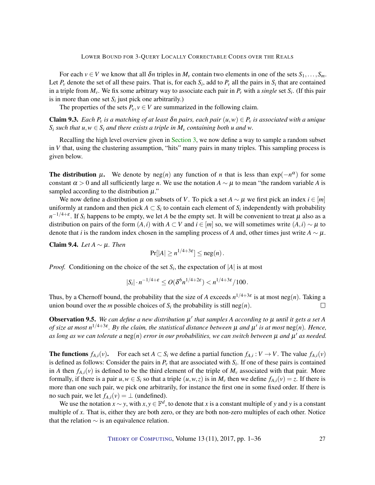For each  $v \in V$  we know that all  $\delta n$  triples in  $M_v$  contain two elements in one of the sets  $S_1, \ldots, S_m$ . Let  $P_v$  denote the set of all these pairs. That is, for each  $S_i$ , add to  $P_v$  all the pairs in  $S_i$  that are contained in a triple from *Mv*. We fix some arbitrary way to associate each pair in *P<sup>v</sup>* with a *single* set *S<sup>i</sup>* . (If this pair is in more than one set  $S_i$  just pick one arbitrarily.)

The properties of the sets  $P_v$ ,  $v \in V$  are summarized in the following claim.

<span id="page-26-1"></span>**Claim 9.3.** *Each P<sub>v</sub> is a matching of at least*  $\delta n$  *pairs, each pair*  $(u, w) \in P_v$  *is associated with a unique S*<sup>*i*</sup> *such that u*,  $w \in S_i$  *and there exists a triple in*  $M_v$  *containing both u and w.* 

Recalling the high level overview given in [Section](#page-5-0) [3,](#page-5-0) we now define a way to sample a random subset in *V* that, using the clustering assumption, "hits" many pairs in many triples. This sampling process is given below.

The distribution  $\mu$ . We denote by neg(*n*) any function of *n* that is less than exp( $-n^{\alpha}$ ) for some constant  $\alpha > 0$  and all sufficiently large *n*. We use the notation  $A \sim \mu$  to mean "the random variable *A* is sampled according to the distribution  $\mu$ ."

We now define a distribution  $\mu$  on subsets of *V*. To pick a set  $A \sim \mu$  we first pick an index  $i \in [m]$ uniformly at random and then pick  $A \subset S_i$  to contain each element of  $S_i$  independently with probability  $n^{-1/4+\varepsilon}$ . If *S*<sub>*i*</sub> happens to be empty, we let *A* be the empty set. It will be convenient to treat  $\mu$  also as a distribution on pairs of the form  $(A, i)$  with  $A \subset V$  and  $i \in [m]$  so, we will sometimes write  $(A, i) \sim \mu$  to denote that *i* is the random index chosen in the sampling process of *A* and, other times just write  $A \sim \mu$ .

Claim 9.4. *Let A* ∼ µ*. Then*

$$
\Pr[|A| \ge n^{1/4+3\varepsilon}] \le \operatorname{neg}(n).
$$

*Proof.* Conditioning on the choice of the set  $S_i$ , the expectation of  $|A|$  is at most

$$
|S_i|\cdot n^{-1/4+\varepsilon}\leq O(\delta^6n^{1/4+2\varepsilon})
$$

Thus, by a Chernoff bound, the probability that the size of *A* exceeds  $n^{1/4+3\varepsilon}$  is at most neg(*n*). Taking a union bound over the *m* possible choices of  $S_i$  the probability is still neg(*n*).

<span id="page-26-0"></span>**Observation 9.5.** We can define a new distribution  $\mu'$  that samples A according to  $\mu$  until it gets a set A *of size at most n* 1/4+3ε *. By the claim, the statistical distance between* µ *and* µ 0 *is at most* neg(*n*)*. Hence,* as long as we can tolerate a  $\operatorname{neg}(n)$  error in our probabilities, we can switch between  $\mu$  and  $\mu'$  as needed.

**The functions**  $f_{A,i}(v)$ . For each set  $A \subset S_i$  we define a partial function  $f_{A,i}: V \to V$ . The value  $f_{A,i}(v)$ is defined as follows: Consider the pairs in  $P_\nu$  that are associated with  $S_i$ . If one of these pairs is contained in *A* then  $f_{A,i}(v)$  is defined to be the third element of the triple of  $M_v$  associated with that pair. More formally, if there is a pair  $u, w \in S_i$  so that a triple  $(u, w, z)$  is in  $M_v$  then we define  $f_{A,i}(v) = z$ . If there is more than one such pair, we pick one arbitrarily, for instance the first one in some fixed order. If there is no such pair, we let  $f_{A,i}(v) = \perp$  (undefined).

We use the notation  $x \sim y$ , with  $x, y \in \mathbb{F}^d$ , to denote that *x* is a constant multiple of *y* and *y* is a constant multiple of x. That is, either they are both zero, or they are both non-zero multiples of each other. Notice that the relation  $\sim$  is an equivalence relation.

THEORY OF C[OMPUTING](http://dx.doi.org/10.4086/toc), Volume 13 (11), 2017, pp. 1–36 27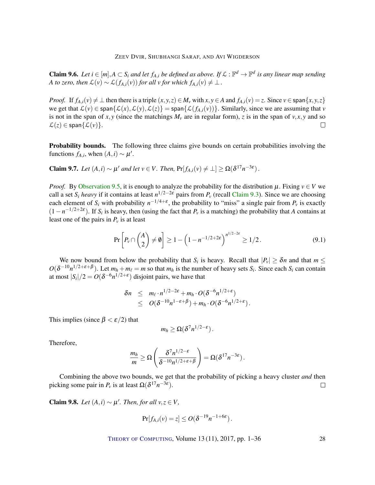<span id="page-27-2"></span>**Claim 9.6.** Let  $i \in [m], A \subset S_i$  and let  $f_{A,i}$  be defined as above. If  $\mathcal{L} : \mathbb{F}^d \to \mathbb{F}^d$  is any linear map sending *A* to zero, then  $\mathcal{L}(v) \sim \mathcal{L}(f_{A,i}(v))$  for all v for which  $f_{A,i}(v) \neq \perp$ .

*Proof.* If  $f_{A,i}(v) \neq \bot$  then there is a triple  $(x, y, z) \in M_v$  with  $x, y \in A$  and  $f_{A,i}(v) = z$ . Since  $v \in \text{span}\{x, y, z\}$ we get that  $\mathcal{L}(v) \in \text{span}\{\mathcal{L}(x),\mathcal{L}(y),\mathcal{L}(z)\} = \text{span}\{\mathcal{L}(f_{A,i}(v))\}$ . Similarly, since we are assuming that *v* is not in the span of *x*, *y* (since the matchings  $M_v$  are in regular form), *z* is in the span of *v*, *x*, *y* and so  $\mathcal{L}(z) \in \text{span}\{\mathcal{L}(v)\}.$  $\Box$ 

Probability bounds. The following three claims give bounds on certain probabilities involving the functions  $f_{A,i}$ , when  $(A,i) \sim \mu'$ .

<span id="page-27-0"></span>**Claim 9.7.** *Let*  $(A, i) \sim \mu'$  *and let*  $v \in V$ *. Then,*  $Pr[f_{A,i}(v) \neq \bot] \geq \Omega(\delta^{17} n^{-3\epsilon})$ *.* 

*Proof.* By [Observation](#page-26-0) [9.5,](#page-26-0) it is enough to analyze the probability for the distribution  $\mu$ . Fixing  $v \in V$  we call a set *S*<sup>*i*</sup> *heavy* if it contains at least  $n^{1/2-2\varepsilon}$  pairs from  $P$ <sup>*v*</sup> (recall [Claim](#page-26-1) [9.3\)](#page-26-1). Since we are choosing each element of  $S_i$  with probability  $n^{-1/4+\epsilon}$ , the probability to "miss" a single pair from  $P_\nu$  is exactly  $(1 - n^{-1/2 + 2\varepsilon})$ . If *S<sub>i</sub>* is heavy, then (using the fact that *P<sub>v</sub>* is a matching) the probability that *A* contains at least one of the pairs in  $P_\nu$  is at least

$$
\Pr\left[P_v \cap \binom{A}{2} \neq \emptyset\right] \ge 1 - \left(1 - n^{-1/2 + 2\varepsilon}\right)^{n^{1/2 - 2\varepsilon}} \ge 1/2. \tag{9.1}
$$

We now bound from below the probability that  $S_i$  is heavy. Recall that  $|P_v| \geq \delta n$  and that  $m \leq$  $O(\delta^{-10}n^{1/2+\epsilon+\beta})$ . Let  $m_h + m_\ell = m$  so that  $m_h$  is the number of heavy sets  $S_i$ . Since each  $S_i$  can contain at most  $|S_i|/2 = O(\delta^{-6} n^{1/2+\epsilon})$  disjoint pairs, we have that

$$
\delta n \leq m_{\ell} \cdot n^{1/2-2\varepsilon} + m_h \cdot O(\delta^{-6} n^{1/2+\varepsilon})
$$
  
 
$$
\leq O(\delta^{-10} n^{1-\varepsilon+\beta}) + m_h \cdot O(\delta^{-6} n^{1/2+\varepsilon}).
$$

This implies (since  $\beta < \varepsilon/2$ ) that

$$
m_h \geq \Omega(\delta^7 n^{1/2-\varepsilon}).
$$

Therefore,

$$
\frac{m_h}{m} \geq \Omega \left( \frac{\delta^7 n^{1/2-\varepsilon}}{\delta^{-10} n^{1/2+\varepsilon+\beta}} \right) = \Omega(\delta^{17} n^{-3\varepsilon}).
$$

Combining the above two bounds, we get that the probability of picking a heavy cluster *and* then picking some pair in  $P_v$  is at least  $\Omega(\delta^{17}n^{-3\varepsilon})$ .  $\Box$ 

<span id="page-27-1"></span>Claim 9.8. *Let*  $(A, i)$  ∼  $\mu'$ *. Then, for all*  $v, z \in V$ *,* 

$$
\Pr[f_{A,i}(v) = z] \le O(\delta^{-19}n^{-1+6\varepsilon}).
$$

THEORY OF C[OMPUTING](http://dx.doi.org/10.4086/toc), Volume 13 (11), 2017, pp. 1–36 28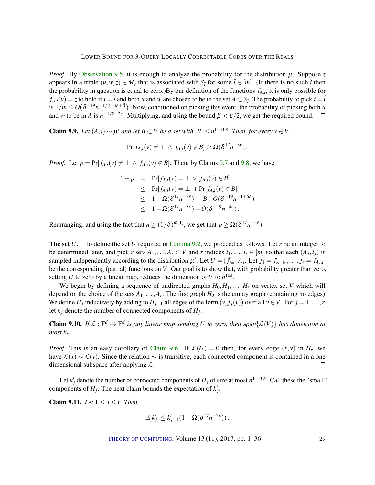*Proof.* By [Observation](#page-26-0) [9.5,](#page-26-0) it is enough to analyze the probability for the distribution  $\mu$ . Suppose *z* appears in a triple  $(u, w, z) \in M_v$  that is associated with  $S_i$  for some  $\hat{i} \in [m]$ . (If there is no such  $\hat{i}$  then the probability in question is equal to zero.)By our definition of the functions *fA*,*<sup>i</sup>* , it is only possible for  $f_{A,i}(v) = z$  to hold if  $i = \hat{i}$  and both *u* and *w* are chosen to be in the set  $A \subset S_{\hat{i}}$ . The probability to pick  $i = \hat{i}$ is  $1/m \leq O(\delta^{-19}n^{-1/2+3\varepsilon+\beta})$ . Now, conditioned on picking this event, the probability of picking both *u* and *w* to be in *A* is  $n^{-1/2+2\varepsilon}$ . Multiplying, and using the bound  $\beta < \varepsilon/2$ , we get the required bound.

<span id="page-28-0"></span>**Claim 9.9.** *Let*  $(A, i) \sim \mu'$  *and let*  $B \subset V$  *be a set with*  $|B| \leq n^{1-10\varepsilon}$ *. Then, for every*  $v \in V$ *,* 

$$
\Pr[f_{A,i}(v) \neq \bot \, \wedge \, f_{A,i}(v) \not\in B] \geq \Omega(\delta^{17} n^{-3\varepsilon}).
$$

*Proof.* Let  $p = Pr[f_{A,i}(v) \neq \perp \wedge f_{A,i}(v) \notin B]$ . Then, by Claims [9.7](#page-27-0) and [9.8,](#page-27-1) we have

$$
1-p = \Pr[f_{A,i}(v) = \bot \vee f_{A,i}(v) \in B]
$$
  
\n
$$
\leq \Pr[f_{A,i}(v) = \bot] + \Pr[f_{A,i}(v) \in B]
$$
  
\n
$$
\leq 1 - \Omega(\delta^{17}n^{-3\epsilon}) + |B| \cdot O(\delta^{-19}n^{-1+6\epsilon})
$$
  
\n
$$
\leq 1 - \Omega(\delta^{17}n^{-3\epsilon}) + O(\delta^{-19}n^{-4\epsilon}).
$$

Rearranging, and using the fact that  $n \ge (1/\delta)^{\omega(1)}$ , we get that  $p \ge \Omega(\delta^{17} n^{-3\varepsilon})$ .

The set *U*. To define the set *U* required in [Lemma](#page-25-1) [9.2,](#page-25-1) we proceed as follows. Let *r* be an integer to be determined later, and pick *r* sets  $A_1, \ldots, A_r \subset V$  and *r* indices  $i_1, \ldots, i_r \in [m]$  so that each  $(A_j, i_j)$  is sampled independently according to the distribution  $\mu'$ . Let  $U = \bigcup_{j=1}^{r} A_j$ . Let  $f_1 = f_{A_1, i_1}, \ldots, f_r = f_{A_r, i_r}$ be the corresponding (partial) functions on *V*. Our goal is to show that, with probability greater than zero, setting *U* to zero by a linear map, reduces the dimension of *V* to  $n^{10\varepsilon}$ .

We begin by defining a sequence of undirected graphs  $H_0, H_1, \ldots, H_r$  on vertex set *V* which will depend on the choice of the sets  $A_1, \ldots, A_r$ . The first graph  $H_0$  is the empty graph (containing no edges). We define  $H_j$  inductively by adding to  $H_{j-1}$  all edges of the form  $(v, f_j(v))$  over all  $v \in V$ . For  $j = 1, \ldots, r$ , let *k<sup>j</sup>* denote the number of connected components of *H<sup>j</sup>* .

<span id="page-28-1"></span>**Claim 9.10.** If  $\mathcal{L} : \mathbb{F}^d \to \mathbb{F}^d$  is any linear map sending U to zero, then span $\{\mathcal{L}(V)\}\)$  has dimension at *most k<sup>r</sup> .*

*Proof.* This is an easy corollary of [Claim](#page-27-2) [9.6.](#page-27-2) If  $\mathcal{L}(U) = 0$  then, for every edge  $(x, y)$  in  $H_r$ , we have  $\mathcal{L}(x) \sim \mathcal{L}(y)$ . Since the relation  $\sim$  is transitive, each connected component is contained in a one dimensional subspace after applying  $\mathcal{L}$ .  $\Box$ 

Let  $k'_j$  denote the number of connected components of  $H_j$  of size at most  $n^{1-10\varepsilon}$ . Call these the "small" components of  $H_j$ . The next claim bounds the expectation of  $k'_j$ .

**Claim 9.11.** *Let*  $1 \leq j \leq r$ . *Then,* 

$$
\mathbb{E}[k'_j] \leq k'_{j-1} \left(1 - \Omega(\delta^{17} n^{-3\varepsilon})\right).
$$

THEORY OF C[OMPUTING](http://dx.doi.org/10.4086/toc), Volume 13 (11), 2017, pp. 1–36 29

$$
f_{\rm{max}}
$$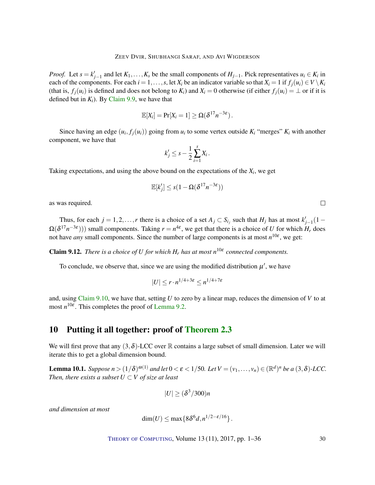*Proof.* Let  $s = k'_{j-1}$  and let  $K_1, \ldots, K_s$  be the small components of  $H_{j-1}$ . Pick representatives  $u_i \in K_i$  in each of the components. For each  $i = 1, \ldots, s$ , let  $X_i$  be an indicator variable so that  $X_i = 1$  if  $f_i(u_i) \in V \setminus K_i$ (that is,  $f_i(u_i)$  is defined and does not belong to  $K_i$ ) and  $X_i = 0$  otherwise (if either  $f_i(u_i) = \perp$  or if it is defined but in  $K_i$ ). By [Claim](#page-28-0) [9.9,](#page-28-0) we have that

$$
\mathbb{E}[X_i] = \Pr[X_i = 1] \geq \Omega(\delta^{17} n^{-3\epsilon}).
$$

Since having an edge  $(u_i, f_j(u_i))$  going from  $u_i$  to some vertex outside  $K_i$  "merges"  $K_i$  with another component, we have that

$$
k'_j \leq s - \frac{1}{2} \sum_{i=1}^s X_i \, .
$$

Taking expectations, and using the above bound on the expectations of the  $X_i$ , we get

$$
\mathbb{E}[k'_j] \leq s(1 - \Omega(\delta^{17}n^{-3\varepsilon}))
$$

as was required.

Thus, for each  $j = 1, 2, \ldots, r$  there is a choice of a set  $A_j \subset S_{i_j}$  such that  $H_j$  has at most  $k'_{j-1}(1 \Omega(\delta^{17}n^{-3\varepsilon}))$ ) small components. Taking  $r = n^{4\varepsilon}$ , we get that there is a choice of *U* for which  $H_r$  does not have *any* small components. Since the number of large components is at most *n* 10ε , we get:

**Claim 9.12.** *There is a choice of U for which*  $H_r$  *has at most*  $n^{10\varepsilon}$  *connected components.* 

To conclude, we observe that, since we are using the modified distribution  $\mu'$ , we have

$$
|U| \le r \cdot n^{1/4 + 3\varepsilon} \le n^{1/4 + 7\varepsilon}
$$

and, using [Claim](#page-28-1) [9.10,](#page-28-1) we have that, setting *U* to zero by a linear map, reduces the dimension of *V* to at most  $n^{10\varepsilon}$ . This completes the proof of [Lemma](#page-25-1) [9.2.](#page-25-1)

# <span id="page-29-1"></span>10 Putting it all together: proof of [Theorem](#page-5-1) [2.3](#page-5-1)

We will first prove that any  $(3,\delta)$ -LCC over R contains a large subset of small dimension. Later we will iterate this to get a global dimension bound.

<span id="page-29-0"></span>**Lemma 10.1.** Suppose  $n > (1/\delta)^{\omega(1)}$  and let  $0 < \varepsilon < 1/50$ . Let  $V = (v_1, \ldots, v_n) \in (\mathbb{R}^d)^n$  be a  $(3, \delta)$ -LCC. *Then, there exists a subset*  $U \subset V$  *of size at least* 

$$
|U| \ge (\delta^3/300)n
$$

*and dimension at most*

$$
\dim(U) \le \max\{8\delta^6 d, n^{1/2-\epsilon/16}\}.
$$

THEORY OF C[OMPUTING](http://dx.doi.org/10.4086/toc), Volume 13 (11), 2017, pp. 1–36 30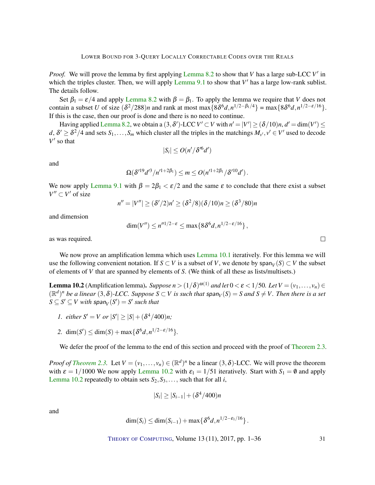*Proof.* We will prove the lemma by first applying [Lemma](#page-17-0) [8.2](#page-17-0) to show that *V* has a large sub-LCC *V*<sup>'</sup> in which the triples cluster. Then, we will apply [Lemma](#page-25-0)  $9.1$  to show that  $V'$  has a large low-rank sublist. The details follow.

Set  $\beta_1 = \varepsilon/4$  and apply [Lemma](#page-17-0) [8.2](#page-17-0) with  $\beta = \beta_1$ . To apply the lemma we require that *V* does not contain a subset *U* of size  $(\delta^2/288)n$  and rank at most max $\{8\delta^6d, n^{1/2-\beta_1/4}\}$  = max $\{8\delta^6d, n^{1/2-\epsilon/16}\}$ . If this is the case, then our proof is done and there is no need to continue.

Having applied [Lemma](#page-17-0) [8.2,](#page-17-0) we obtain a  $(3, \delta')$ -LCC  $V' \subset V$  with  $n' = |V'| \ge (\delta/10)n$ ,  $d' = \dim(V') \le$  $d, \delta' \geq \delta^2/4$  and sets  $S_1, \ldots, S_m$  which cluster all the triples in the matchings  $M_{\nu'}, \nu' \in V'$  used to decode  $V'$  so that

$$
|S_i| \le O(n^{\prime}/\delta^{\prime 6}d^{\prime})
$$

and

$$
\Omega(\delta^{\prime 19} d^{\prime 3}/n^{\prime 1+2\beta_1}) \leq m \leq O(n^{\prime 1+2\beta_1}/\delta^{\prime 10} d^{\prime}).
$$

We now apply [Lemma](#page-25-0) [9.1](#page-25-0) with  $\beta = 2\beta_1 < \varepsilon/2$  and the same  $\varepsilon$  to conclude that there exist a subset  $V'' \subset V'$  of size

$$
n'' = |V''| \ge (\delta'/2)n' \ge (\delta^2/8)(\delta/10)n \ge (\delta^3/80)n
$$

and dimension

$$
\dim(V'') \leq n''^{1/2-\epsilon} \leq \max\{8\delta^6 d, n^{1/2-\epsilon/16}\},
$$

as was required.

We now prove an amplification lemma which uses [Lemma](#page-29-0) [10.1](#page-29-0) iteratively. For this lemma we will use the following convenient notation. If  $S \subset V$  is a subset of *V*, we denote by span $_V(S) \subset V$  the subset of elements of *V* that are spanned by elements of *S*. (We think of all these as lists/multisets.)

<span id="page-30-0"></span>**Lemma 10.2** (Amplification lemma). *Suppose*  $n > (1/\delta)^{\omega(1)}$  *and let*  $0 < \varepsilon < 1/50$ . Let  $V = (v_1, \ldots, v_n) \in$  $(\mathbb{R}^d)^n$  be a linear  $(3, \delta)$ -LCC. Suppose  $S \subset V$  is such that span<sub>V</sub> $(S) = S$  and  $S \neq V$ . Then there is a set  $S \subseteq S' \subseteq V$  with span $_V(S') = S'$  such that

- *1. either*  $S' = V$  *or*  $|S'| \ge |S| + (\delta^4/400)n$ ;
- 2. dim(*S'*)  $\leq$  dim(*S*) + max{ $\delta^{6}d$ *,n*<sup>1/2−ε/16</sup>}*.*

We defer the proof of the lemma to the end of this section and proceed with the proof of [Theorem](#page-5-1) [2.3.](#page-5-1)

*Proof of [Theorem](#page-5-1) [2.3.](#page-5-1)* Let  $V = (v_1, \ldots, v_n) \in (\mathbb{R}^d)^n$  be a linear  $(3, \delta)$ -LCC. We will prove the theorem with  $\varepsilon = 1/1000$  We now apply [Lemma](#page-30-0) [10.2](#page-30-0) with  $\varepsilon_1 = 1/51$  iteratively. Start with  $S_1 = \emptyset$  and apply [Lemma](#page-30-0) [10.2](#page-30-0) repeatedly to obtain sets  $S_2, S_3, \ldots$ , such that for all *i*,

$$
|S_i| \geq |S_{i-1}| + (\delta^4/400)n
$$

and

$$
\dim(S_i) \leq \dim(S_{i-1}) + \max\{\delta^6 d, n^{1/2-\varepsilon_1/16}\}.
$$

THEORY OF C[OMPUTING](http://dx.doi.org/10.4086/toc), Volume 13 (11), 2017, pp. 1–36 31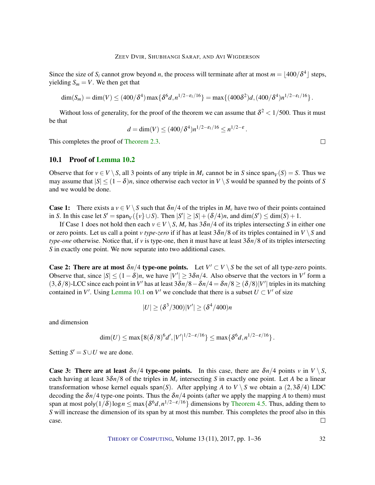Since the size of  $S_i$  cannot grow beyond *n*, the process will terminate after at most  $m = \lfloor 400/\delta^4 \rfloor$  steps, yielding  $S_m = V$ . We then get that

$$
\dim(S_m) = \dim(V) \le (400/\delta^4) \max\{\delta^6 d, n^{1/2-\epsilon_1/16}\} = \max\{(400\delta^2)d, (400/\delta^4)n^{1/2-\epsilon_1/16}\}.
$$

Without loss of generality, for the proof of the theorem we can assume that  $\delta^2 < 1/500$ . Thus it must be that

$$
d = \dim(V) \le (400/\delta^4) n^{1/2 - \varepsilon_1/16} \le n^{1/2 - \varepsilon}.
$$

This completes the proof of [Theorem](#page-5-1) [2.3.](#page-5-1)

## 10.1 Proof of [Lemma](#page-30-0) [10.2](#page-30-0)

Observe that for  $v \in V \setminus S$ , all 3 points of any triple in  $M_v$  cannot be in *S* since span $V(v) = S$ . Thus we may assume that  $|S| \leq (1-\delta)n$ , since otherwise each vector in *V* \ *S* would be spanned by the points of *S* and we would be done.

**Case 1:** There exists a  $v \in V \setminus S$  such that  $\delta n/4$  of the triples in  $M_v$  have two of their points contained in *S*. In this case let  $S' = \text{span}_V(\{v\} \cup S)$ . Then  $|S'| \geq |S| + (\delta/4)n$ , and  $\dim(S') \leq \dim(S) + 1$ .

If Case 1 does not hold then each  $v \in V \setminus S$ ,  $M_v$  has  $3\delta n/4$  of its triples intersecting *S* in either one or zero points. Let us call a point *v type-zero* if if has at least  $3\delta n/8$  of its triples contained in  $V \ S$  and *type-one* otherwise. Notice that, if *v* is type-one, then it must have at least  $3\delta n/8$  of its triples intersecting *S* in exactly one point. We now separate into two additional cases.

**Case 2: There are at most**  $\delta n/4$  **type-one points.** Let  $V' \subset V \setminus S$  be the set of all type-zero points. Observe that, since  $|S| \le (1 - \delta)n$ , we have  $|V'| \ge 3\delta n/4$ . Also observe that the vectors in V' form a (3,  $\delta/8$ )-LCC since each point in *V'* has at least  $3\delta n/8 - \delta n/4 = \delta n/8 \geq (\delta/8)|V'|$  triples in its matching contained in *V'*. Using [Lemma](#page-29-0) [10.1](#page-29-0) on *V'* we conclude that there is a subset  $U \subset V'$  of size

$$
|U| \ge (\delta^3/300)|V'| \ge (\delta^4/400)n
$$

and dimension

$$
\dim(U) \le \max\{8(\delta/8)^6d', |V'|^{1/2-\epsilon/16}\} \le \max\{\delta^6d, n^{1/2-\epsilon/16}\}.
$$

Setting  $S' = S \cup U$  we are done.

**Case 3: There are at least**  $\delta n/4$  **type-one points.** In this case, there are  $\delta n/4$  points *v* in  $V \setminus S$ , each having at least  $3\delta n/8$  of the triples in  $M_v$  intersecting *S* in exactly one point. Let *A* be a linear transformation whose kernel equals span(*S*). After applying *A* to *V* \ *S* we obtain a (2,3 $\delta$ /4) LDC decoding the  $\delta n/4$  type-one points. Thus the  $\delta n/4$  points (after we apply the mapping A to them) must span at most poly $(1/\delta)\log n \le \max\{\delta^6 d, n^{1/2-\epsilon/16}\}\,$  dimensions by [Theorem](#page-10-3) [4.5.](#page-10-3) Thus, adding them to *S* will increase the dimension of its span by at most this number. This completes the proof also in this case.  $\Box$ 

THEORY OF C[OMPUTING](http://dx.doi.org/10.4086/toc), Volume 13 (11), 2017, pp. 1–36 32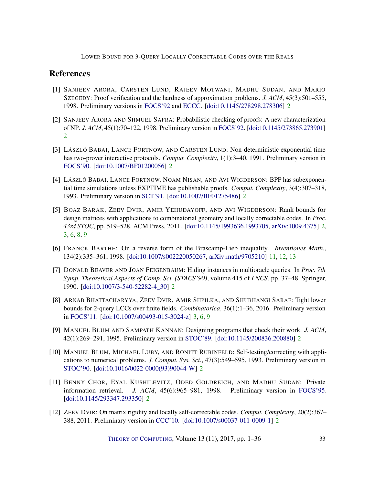# References

- <span id="page-32-6"></span>[1] SANJEEV ARORA, CARSTEN LUND, RAJEEV MOTWANI, MADHU SUDAN, AND MARIO SZEGEDY: Proof verification and the hardness of approximation problems. *J. ACM*, 45(3):501–555, 1998. Preliminary versions in [FOCS'92](http://dx.doi.org/10.1109/SFCS.1992.267823) and [ECCC.](http://eccc.hpi-web.de/eccc-reports/1998/TR98-008/) [\[doi:10.1145/278298.278306\]](http://dx.doi.org/10.1145/278298.278306) [2](#page-1-0)
- <span id="page-32-5"></span>[2] SANJEEV ARORA AND SHMUEL SAFRA: Probabilistic checking of proofs: A new characterization of NP. *J. ACM*, 45(1):70–122, 1998. Preliminary version in [FOCS'92.](http://dx.doi.org/10.1109/SFCS.1992.267824) [\[doi:10.1145/273865.273901\]](http://dx.doi.org/10.1145/273865.273901) [2](#page-1-0)
- <span id="page-32-4"></span>[3] LÁSZLÓ BABAI, LANCE FORTNOW, AND CARSTEN LUND: Non-deterministic exponential time has two-prover interactive protocols. *Comput. Complexity*, 1(1):3–40, 1991. Preliminary version in [FOCS'90.](http://dx.doi.org/10.1109/FSCS.1990.89520) [\[doi:10.1007/BF01200056\]](http://dx.doi.org/10.1007/BF01200056) [2](#page-1-0)
- <span id="page-32-3"></span>[4] LÁSZLÓ BABAI, LANCE FORTNOW, NOAM NISAN, AND AVI WIGDERSON: BPP has subexponential time simulations unless EXPTIME has publishable proofs. *Comput. Complexity*, 3(4):307–318, 1993. Preliminary version in [SCT'91.](http://dx.doi.org/10.1109/SCT.1991.160263) [\[doi:10.1007/BF01275486\]](http://dx.doi.org/10.1007/BF01275486) [2](#page-1-0)
- <span id="page-32-9"></span>[5] BOAZ BARAK, ZEEV DVIR, AMIR YEHUDAYOFF, AND AVI WIGDERSON: Rank bounds for design matrices with applications to combinatorial geometry and locally correctable codes. In *Proc. 43rd STOC*, pp. 519–528. ACM Press, 2011. [\[doi:10.1145/1993636.1993705,](http://dx.doi.org/10.1145/1993636.1993705) [arXiv:1009.4375\]](http://arxiv.org/abs/1009.4375) [2,](#page-1-0) [3,](#page-2-0) [6,](#page-5-3) [8,](#page-7-0) [9](#page-8-1)
- <span id="page-32-11"></span>[6] FRANCK BARTHE: On a reverse form of the Brascamp-Lieb inequality. *Inventiones Math.*, 134(2):335–361, 1998. [\[doi:10.1007/s002220050267,](http://dx.doi.org/10.1007/s002220050267) [arXiv:math/9705210\]](http://arxiv.org/abs/math/9705210) [11,](#page-10-4) [12,](#page-11-2) [13](#page-12-0)
- <span id="page-32-2"></span>[7] DONALD BEAVER AND JOAN FEIGENBAUM: Hiding instances in multioracle queries. In *Proc. 7th Symp. Theoretical Aspects of Comp. Sci. (STACS'90)*, volume 415 of *LNCS*, pp. 37–48. Springer, 1990. [\[doi:10.1007/3-540-52282-4\\_30\]](http://dx.doi.org/10.1007/3-540-52282-4_30) [2](#page-1-0)
- <span id="page-32-10"></span>[8] ARNAB BHATTACHARYYA, ZEEV DVIR, AMIR SHPILKA, AND SHUBHANGI SARAF: Tight lower bounds for 2-query LCCs over finite fields. *Combinatorica*, 36(1):1–36, 2016. Preliminary version in [FOCS'11.](http://dx.doi.org/10.1109/FOCS.2011.28) [\[doi:10.1007/s00493-015-3024-z\]](http://dx.doi.org/10.1007/s00493-015-3024-z) [3,](#page-2-0) [6,](#page-5-3) [9](#page-8-1)
- <span id="page-32-0"></span>[9] MANUEL BLUM AND SAMPATH KANNAN: Designing programs that check their work. *J. ACM*, 42(1):269–291, 1995. Preliminary version in [STOC'89.](http://dx.doi.org/10.1145/73007.73015) [\[doi:10.1145/200836.200880\]](http://dx.doi.org/10.1145/200836.200880) [2](#page-1-0)
- <span id="page-32-1"></span>[10] MANUEL BLUM, MICHAEL LUBY, AND RONITT RUBINFELD: Self-testing/correcting with applications to numerical problems. *J. Comput. Sys. Sci.*, 47(3):549–595, 1993. Preliminary version in [STOC'90.](http://dx.doi.org/10.1145/100216.100225) [\[doi:10.1016/0022-0000\(93\)90044-W\]](http://dx.doi.org/10.1016/0022-0000(93)90044-W) [2](#page-1-0)
- <span id="page-32-7"></span>[11] BENNY CHOR, EYAL KUSHILEVITZ, ODED GOLDREICH, AND MADHU SUDAN: Private information retrieval. *J. ACM*, 45(6):965–981, 1998. Preliminary version in [FOCS'95.](http://dx.doi.org/10.1109/SFCS.1995.492461) [\[doi:10.1145/293347.293350\]](http://dx.doi.org/10.1145/293347.293350) [2](#page-1-0)
- <span id="page-32-8"></span>[12] ZEEV DVIR: On matrix rigidity and locally self-correctable codes. *Comput. Complexity*, 20(2):367– 388, 2011. Preliminary version in [CCC'10.](http://dx.doi.org/10.1109/CCC.2010.35) [\[doi:10.1007/s00037-011-0009-1\]](http://dx.doi.org/10.1007/s00037-011-0009-1) [2](#page-1-0)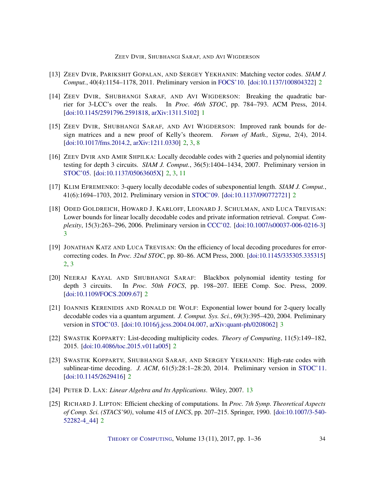## ZEEV DVIR, SHUBHANGI SARAF, AND AVI WIGDERSON

- <span id="page-33-9"></span>[13] ZEEV DVIR, PARIKSHIT GOPALAN, AND SERGEY YEKHANIN: Matching vector codes. *SIAM J. Comput.*, 40(4):1154–1178, 2011. Preliminary version in [FOCS'10.](http://dx.doi.org/10.1109/FOCS.2010.73) [\[doi:10.1137/100804322\]](http://dx.doi.org/10.1137/100804322) [2](#page-1-0)
- <span id="page-33-0"></span>[14] ZEEV DVIR, SHUBHANGI SARAF, AND AVI WIGDERSON: Breaking the quadratic barrier for 3-LCC's over the reals. In *Proc. 46th STOC*, pp. 784–793. ACM Press, 2014. [\[doi:10.1145/2591796.2591818,](http://dx.doi.org/10.1145/2591796.2591818) [arXiv:1311.5102\]](http://arxiv.org/abs/1311.5102) [1](#page-0-0)
- <span id="page-33-7"></span>[15] ZEEV DVIR, SHUBHANGI SARAF, AND AVI WIGDERSON: Improved rank bounds for design matrices and a new proof of Kelly's theorem. *Forum of Math., Sigma*, 2(4), 2014. [\[doi:10.1017/fms.2014.2,](http://dx.doi.org/10.1017/fms.2014.2) [arXiv:1211.0330\]](http://arxiv.org/abs/1211.0330) [2,](#page-1-0) [3,](#page-2-0) [8](#page-7-0)
- <span id="page-33-5"></span>[16] ZEEV DVIR AND AMIR SHPILKA: Locally decodable codes with 2 queries and polynomial identity testing for depth 3 circuits. *SIAM J. Comput.*, 36(5):1404–1434, 2007. Preliminary version in [STOC'05.](http://dx.doi.org/10.1145/1060590.1060678) [\[doi:10.1137/05063605X\]](http://dx.doi.org/10.1137/05063605X) [2,](#page-1-0) [3,](#page-2-0) [11](#page-10-4)
- <span id="page-33-8"></span>[17] KLIM EFREMENKO: 3-query locally decodable codes of subexponential length. *SIAM J. Comput.*, 41(6):1694–1703, 2012. Preliminary version in [STOC'09.](http://dx.doi.org/10.1145/1536414.1536422) [\[doi:10.1137/090772721\]](http://dx.doi.org/10.1137/090772721) [2](#page-1-0)
- <span id="page-33-10"></span>[18] ODED GOLDREICH, HOWARD J. KARLOFF, LEONARD J. SCHULMAN, AND LUCA TREVISAN: Lower bounds for linear locally decodable codes and private information retrieval. *Comput. Complexity*, 15(3):263–296, 2006. Preliminary version in [CCC'02.](http://dx.doi.org/10.1109/CCC.2002.1004353) [\[doi:10.1007/s00037-006-0216-3\]](http://dx.doi.org/10.1007/s00037-006-0216-3) [3](#page-2-0)
- <span id="page-33-2"></span>[19] JONATHAN KATZ AND LUCA TREVISAN: On the efficiency of local decoding procedures for errorcorrecting codes. In *Proc. 32nd STOC*, pp. 80–86. ACM Press, 2000. [\[doi:10.1145/335305.335315\]](http://dx.doi.org/10.1145/335305.335315) [2,](#page-1-0) [3](#page-2-0)
- <span id="page-33-6"></span>[20] NEERAJ KAYAL AND SHUBHANGI SARAF: Blackbox polynomial identity testing for depth 3 circuits. In *Proc. 50th FOCS*, pp. 198–207. IEEE Comp. Soc. Press, 2009. [\[doi:10.1109/FOCS.2009.67\]](http://dx.doi.org/10.1109/FOCS.2009.67) [2](#page-1-0)
- <span id="page-33-11"></span>[21] IOANNIS KERENIDIS AND RONALD DE WOLF: Exponential lower bound for 2-query locally decodable codes via a quantum argument. *J. Comput. Sys. Sci.*, 69(3):395–420, 2004. Preliminary version in [STOC'03.](http://dx.doi.org/10.1145/780542.780560) [\[doi:10.1016/j.jcss.2004.04.007,](http://dx.doi.org/10.1016/j.jcss.2004.04.007) [arXiv:quant-ph/0208062\]](http://arxiv.org/abs/quant-ph/0208062) [3](#page-2-0)
- <span id="page-33-4"></span>[22] SWASTIK KOPPARTY: List-decoding multiplicity codes. *Theory of Computing*, 11(5):149–182, 2015. [\[doi:10.4086/toc.2015.v011a005\]](http://dx.doi.org/10.4086/toc.2015.v011a005) [2](#page-1-0)
- <span id="page-33-3"></span>[23] SWASTIK KOPPARTY, SHUBHANGI SARAF, AND SERGEY YEKHANIN: High-rate codes with sublinear-time decoding. *J. ACM*, 61(5):28:1–28:20, 2014. Preliminary version in [STOC'11.](http://dx.doi.org/10.1145/1993636.1993660) [\[doi:10.1145/2629416\]](http://dx.doi.org/10.1145/2629416) [2](#page-1-0)
- <span id="page-33-12"></span>[24] PETER D. LAX: *Linear Algebra and Its Applications*. Wiley, 2007. [13](#page-12-0)
- <span id="page-33-1"></span>[25] RICHARD J. LIPTON: Efficient checking of computations. In *Proc. 7th Symp. Theoretical Aspects of Comp. Sci. (STACS'90)*, volume 415 of *LNCS*, pp. 207–215. Springer, 1990. [\[doi:10.1007/3-540-](http://dx.doi.org/10.1007/3-540-52282-4_44) [52282-4\\_44\]](http://dx.doi.org/10.1007/3-540-52282-4_44) [2](#page-1-0)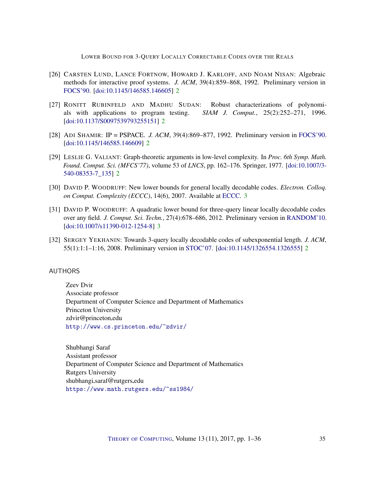- <span id="page-34-3"></span>[26] CARSTEN LUND, LANCE FORTNOW, HOWARD J. KARLOFF, AND NOAM NISAN: Algebraic methods for interactive proof systems. *J. ACM*, 39(4):859–868, 1992. Preliminary version in [FOCS'90.](http://dx.doi.org/10.1109/FSCS.1990.89518) [\[doi:10.1145/146585.146605\]](http://dx.doi.org/10.1145/146585.146605) [2](#page-1-0)
- <span id="page-34-2"></span>[27] RONITT RUBINFELD AND MADHU SUDAN: Robust characterizations of polynomials with applications to program testing. *SIAM J. Comput.*, 25(2):252–271, 1996. [\[doi:10.1137/S0097539793255151\]](http://dx.doi.org/10.1137/S0097539793255151) [2](#page-1-0)
- <span id="page-34-4"></span>[28] ADI SHAMIR: IP = PSPACE. *J. ACM*, 39(4):869–877, 1992. Preliminary version in [FOCS'90.](https://doi.org/10.1109/FSCS.1990.89519) [\[doi:10.1145/146585.146609\]](http://dx.doi.org/10.1145/146585.146609) [2](#page-1-0)
- <span id="page-34-5"></span>[29] LESLIE G. VALIANT: Graph-theoretic arguments in low-level complexity. In *Proc. 6th Symp. Math. Found. Comput. Sci. (MFCS'77)*, volume 53 of *LNCS*, pp. 162–176. Springer, 1977. [\[doi:10.1007/3-](http://dx.doi.org/10.1007/3-540-08353-7_135) [540-08353-7\\_135\]](http://dx.doi.org/10.1007/3-540-08353-7_135) [2](#page-1-0)
- <span id="page-34-7"></span>[30] DAVID P. WOODRUFF: New lower bounds for general locally decodable codes. *Electron. Colloq. on Comput. Complexity (ECCC)*, 14(6), 2007. Available at [ECCC.](https://eccc.weizmann.ac.il/eccc-reports/2007/TR07-006/) [3](#page-2-0)
- <span id="page-34-8"></span>[31] DAVID P. WOODRUFF: A quadratic lower bound for three-query linear locally decodable codes over any field. *J. Comput. Sci. Techn.*, 27(4):678–686, 2012. Preliminary version in [RANDOM'10.](http://dx.doi.org/10.1007/978-3-642-15369-3_57) [\[doi:10.1007/s11390-012-1254-8\]](http://dx.doi.org/10.1007/s11390-012-1254-8) [3](#page-2-0)
- <span id="page-34-6"></span>[32] SERGEY YEKHANIN: Towards 3-query locally decodable codes of subexponential length. *J. ACM*, 55(1):1:1–1:16, 2008. Preliminary version in [STOC'07.](http://dx.doi.org/10.1145/1250790.1250830) [\[doi:10.1145/1326554.1326555\]](http://dx.doi.org/10.1145/1326554.1326555) [2](#page-1-0)

## <span id="page-34-0"></span>AUTHORS

Zeev Dvir Associate professor Department of Computer Science and Department of Mathematics Princeton University zdvir@princeton.edu <http://www.cs.princeton.edu/~zdvir/>

<span id="page-34-1"></span>Shubhangi Saraf Assistant professor Department of Computer Science and Department of Mathematics Rutgers University shubhangi.saraf@rutgers.edu <https://www.math.rutgers.edu/~ss1984/>